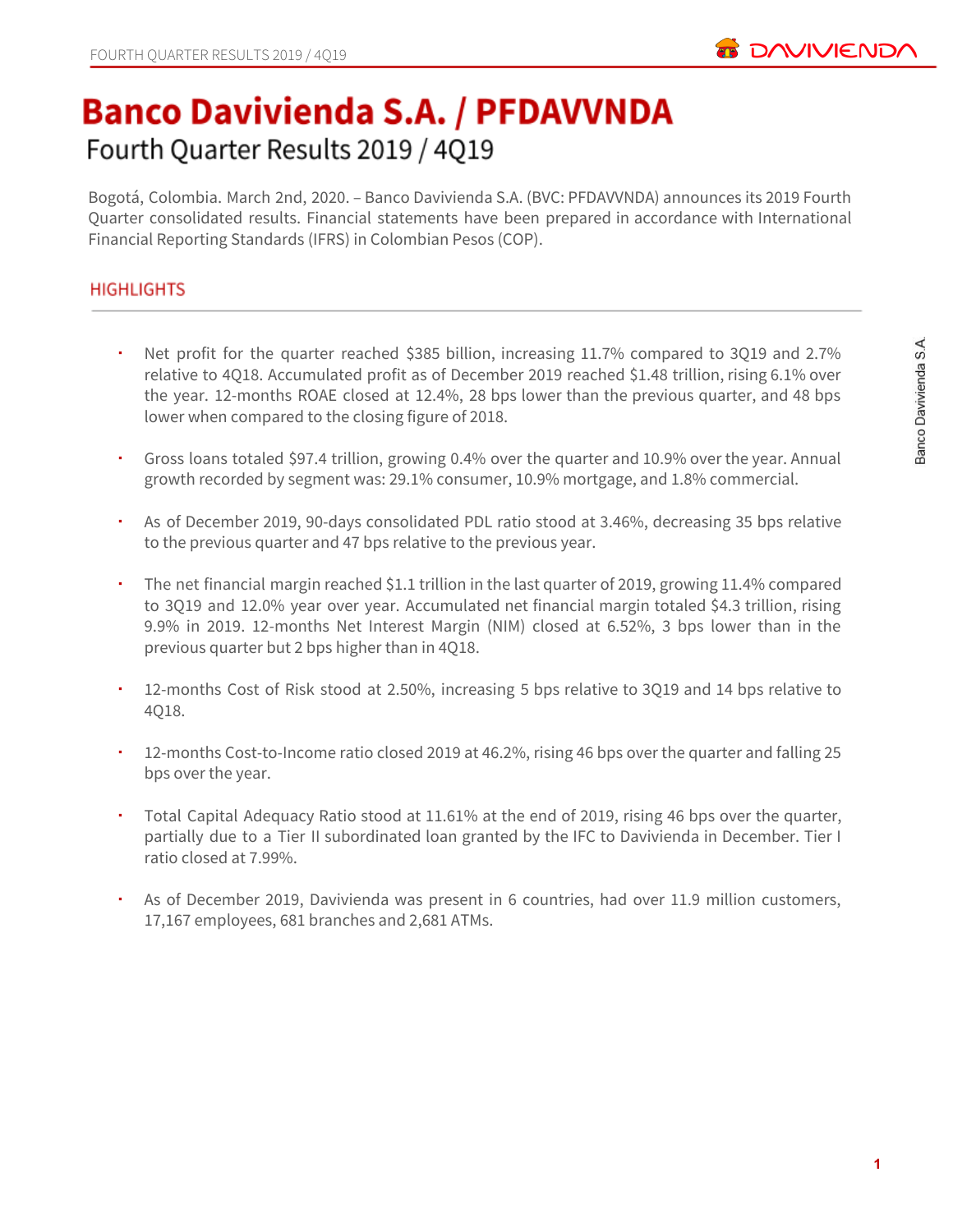

# **Banco Davivienda S.A. / PFDAVVNDA** Fourth Quarter Results 2019 / 4Q19

Bogotá, Colombia. March 2nd, 2020. – Banco Davivienda S.A. (BVC: PFDAVVNDA) announces its 2019 Fourth Quarter consolidated results. Financial statements have been prepared in accordance with International Financial Reporting Standards (IFRS) in Colombian Pesos (COP).

## **HIGHLIGHTS**

- Net profit for the quarter reached \$385 billion, increasing 11.7% compared to 3Q19 and 2.7% relative to 4Q18. Accumulated profit as of December 2019 reached \$1.48 trillion, rising 6.1% over the year. 12-months ROAE closed at 12.4%, 28 bps lower than the previous quarter, and 48 bps lower when compared to the closing figure of 2018.
- Gross loans totaled \$97.4 trillion, growing 0.4% over the quarter and 10.9% over the year. Annual growth recorded by segment was: 29.1% consumer, 10.9% mortgage, and 1.8% commercial.
- As of December 2019, 90-days consolidated PDL ratio stood at 3.46%, decreasing 35 bps relative to the previous quarter and 47 bps relative to the previous year.
- The net financial margin reached \$1.1 trillion in the last quarter of 2019, growing 11.4% compared to 3Q19 and 12.0% year over year. Accumulated net financial margin totaled \$4.3 trillion, rising 9.9% in 2019. 12-months Net Interest Margin (NIM) closed at 6.52%, 3 bps lower than in the previous quarter but 2 bps higher than in 4Q18.
- 12-months Cost of Risk stood at 2.50%, increasing 5 bps relative to 3Q19 and 14 bps relative to 4Q18.
- 12-months Cost-to-Income ratio closed 2019 at 46.2%, rising 46 bps over the quarter and falling 25 bps over the year.
- Total Capital Adequacy Ratio stood at 11.61% at the end of 2019, rising 46 bps over the quarter, partially due to a Tier II subordinated loan granted by the IFC to Davivienda in December. Tier I ratio closed at 7.99%.
- As of December 2019, Davivienda was present in 6 countries, had over 11.9 million customers, 17,167 employees, 681 branches and 2,681 ATMs.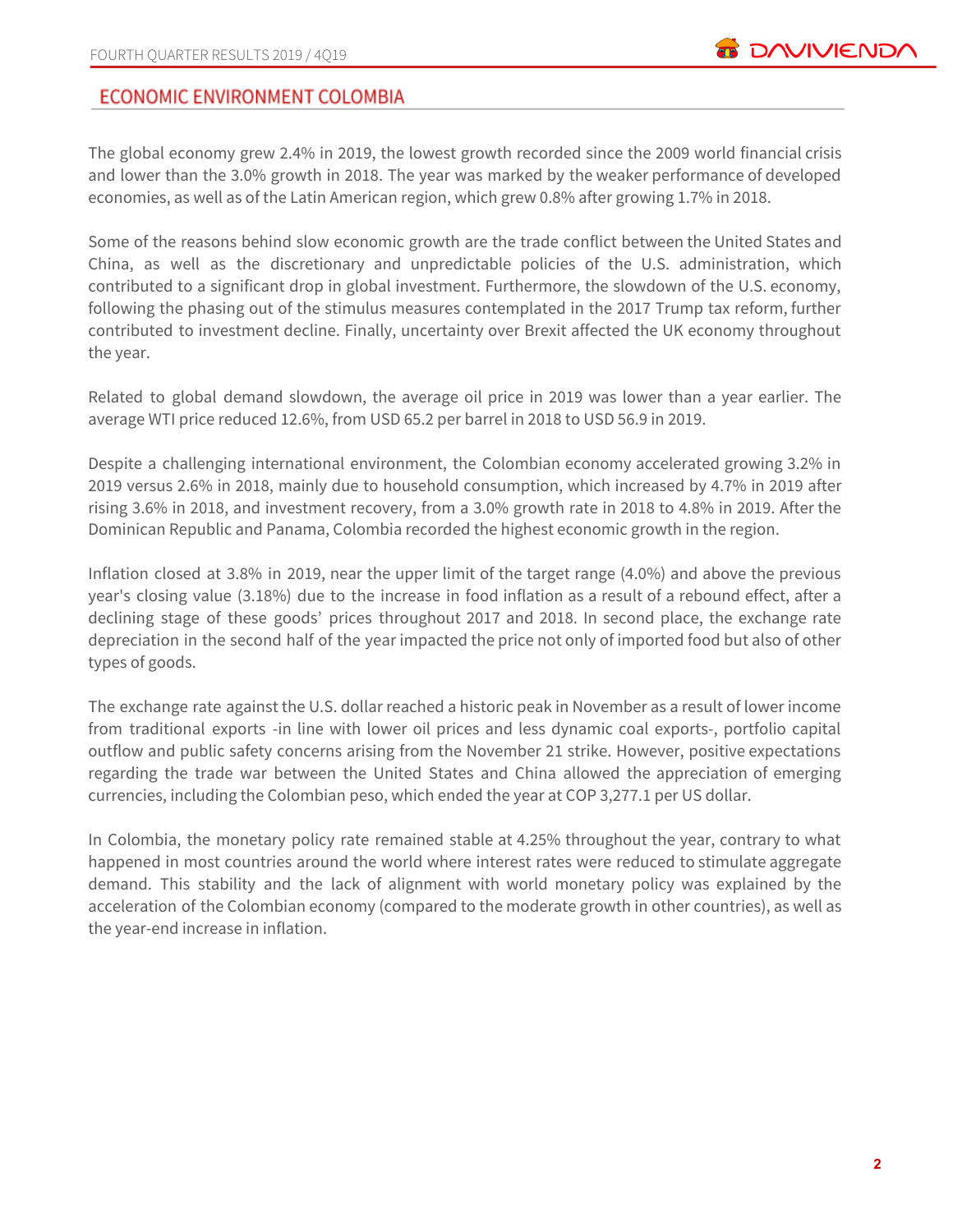## **ECONOMIC ENVIRONMENT COLOMBIA**

The global economy grew 2.4% in 2019, the lowest growth recorded since the 2009 world financial crisis and lower than the 3.0% growth in 2018. The year was marked by the weaker performance of developed economies, as well as of the Latin American region, which grew 0.8% after growing 1.7% in 2018.

Some of the reasons behind slow economic growth are the trade conflict between the United States and China, as well as the discretionary and unpredictable policies of the U.S. administration, which contributed to a significant drop in global investment. Furthermore, the slowdown of the U.S. economy, following the phasing out of the stimulus measures contemplated in the 2017 Trump tax reform, further contributed to investment decline. Finally, uncertainty over Brexit affected the UK economy throughout the year.

Related to global demand slowdown, the average oil price in 2019 was lower than a year earlier. The average WTI price reduced 12.6%, from USD 65.2 per barrel in 2018 to USD 56.9 in 2019.

Despite a challenging international environment, the Colombian economy accelerated growing 3.2% in 2019 versus 2.6% in 2018, mainly due to household consumption, which increased by 4.7% in 2019 after rising 3.6% in 2018, and investment recovery, from a 3.0% growth rate in 2018 to 4.8% in 2019. After the Dominican Republic and Panama, Colombia recorded the highest economic growth in the region.

Inflation closed at 3.8% in 2019, near the upper limit of the target range (4.0%) and above the previous year's closing value (3.18%) due to the increase in food inflation as a result of a rebound effect, after a declining stage of these goods' prices throughout 2017 and 2018. In second place, the exchange rate depreciation in the second half of the year impacted the price not only of imported food but also of other types of goods.

The exchange rate against the U.S. dollar reached a historic peak in November as a result of lower income from traditional exports -in line with lower oil prices and less dynamic coal exports-, portfolio capital outflow and public safety concerns arising from the November 21 strike. However, positive expectations regarding the trade war between the United States and China allowed the appreciation of emerging currencies, including the Colombian peso, which ended the year at COP 3,277.1 per US dollar.

In Colombia, the monetary policy rate remained stable at 4.25% throughout the year, contrary to what happened in most countries around the world where interest rates were reduced to stimulate aggregate demand. This stability and the lack of alignment with world monetary policy was explained by the acceleration of the Colombian economy (compared to the moderate growth in other countries), as well as the year-end increase in inflation.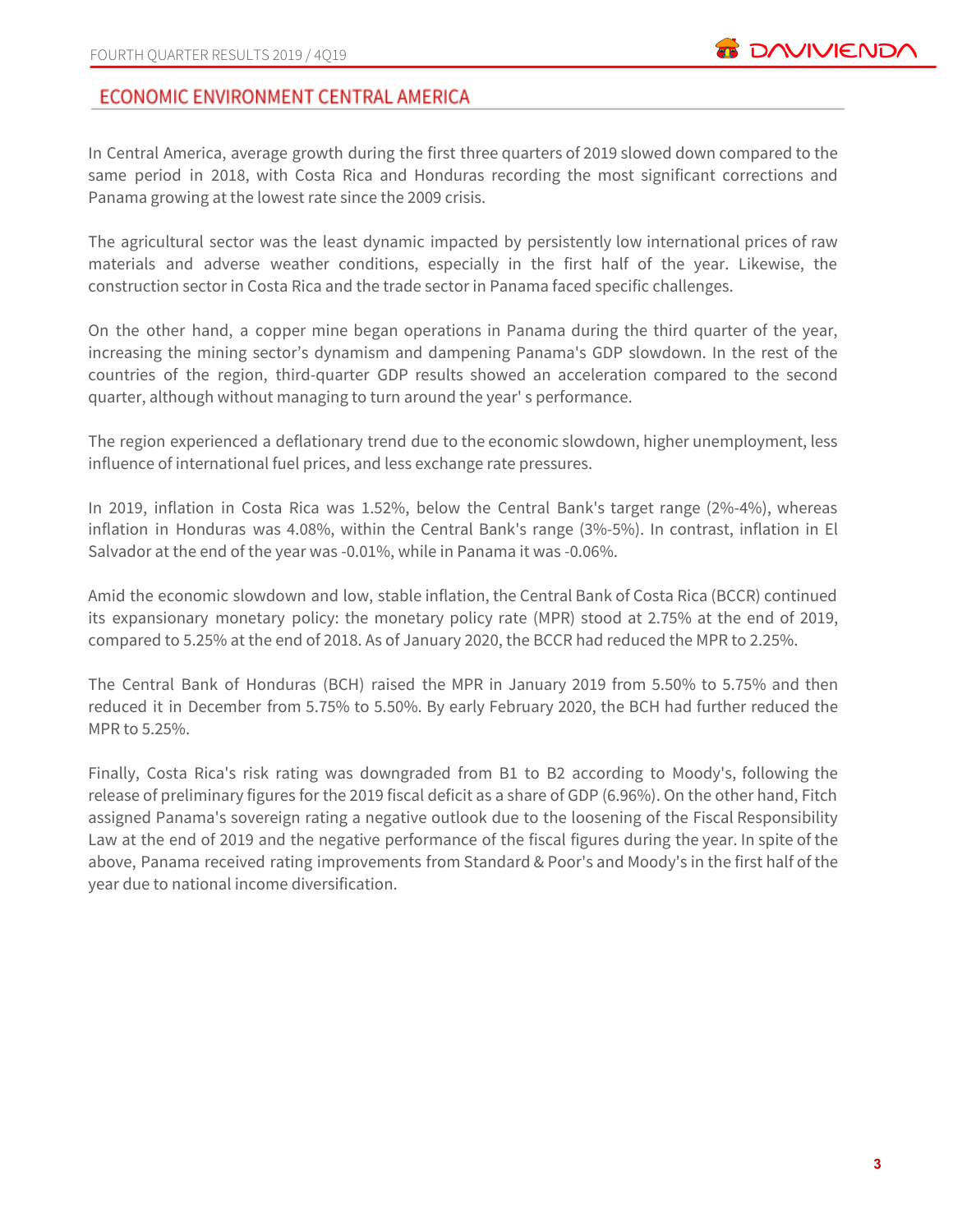## ECONOMIC ENVIRONMENT CENTRAL AMERICA

In Central America, average growth during the first three quarters of 2019 slowed down compared to the same period in 2018, with Costa Rica and Honduras recording the most significant corrections and Panama growing at the lowest rate since the 2009 crisis.

The agricultural sector was the least dynamic impacted by persistently low international prices of raw materials and adverse weather conditions, especially in the first half of the year. Likewise, the construction sector in Costa Rica and the trade sector in Panama faced specific challenges.

On the other hand, a copper mine began operations in Panama during the third quarter of the year, increasing the mining sector's dynamism and dampening Panama's GDP slowdown. In the rest of the countries of the region, third-quarter GDP results showed an acceleration compared to the second quarter, although without managing to turn around the year' s performance.

The region experienced a deflationary trend due to the economic slowdown, higher unemployment, less influence of international fuel prices, and less exchange rate pressures.

In 2019, inflation in Costa Rica was 1.52%, below the Central Bank's target range (2%-4%), whereas inflation in Honduras was 4.08%, within the Central Bank's range (3%-5%). In contrast, inflation in El Salvador at the end of the year was -0.01%, while in Panama it was -0.06%.

Amid the economic slowdown and low, stable inflation, the Central Bank of Costa Rica (BCCR) continued its expansionary monetary policy: the monetary policy rate (MPR) stood at 2.75% at the end of 2019, compared to 5.25% at the end of 2018. As of January 2020, the BCCR had reduced the MPR to 2.25%.

The Central Bank of Honduras (BCH) raised the MPR in January 2019 from 5.50% to 5.75% and then reduced it in December from 5.75% to 5.50%. By early February 2020, the BCH had further reduced the MPR to 5.25%.

Finally, Costa Rica's risk rating was downgraded from B1 to B2 according to Moody's, following the release of preliminary figures for the 2019 fiscal deficit as a share of GDP (6.96%). On the other hand, Fitch assigned Panama's sovereign rating a negative outlook due to the loosening of the Fiscal Responsibility Law at the end of 2019 and the negative performance of the fiscal figures during the year. In spite of the above, Panama received rating improvements from Standard & Poor's and Moody's in the first half of the year due to national income diversification.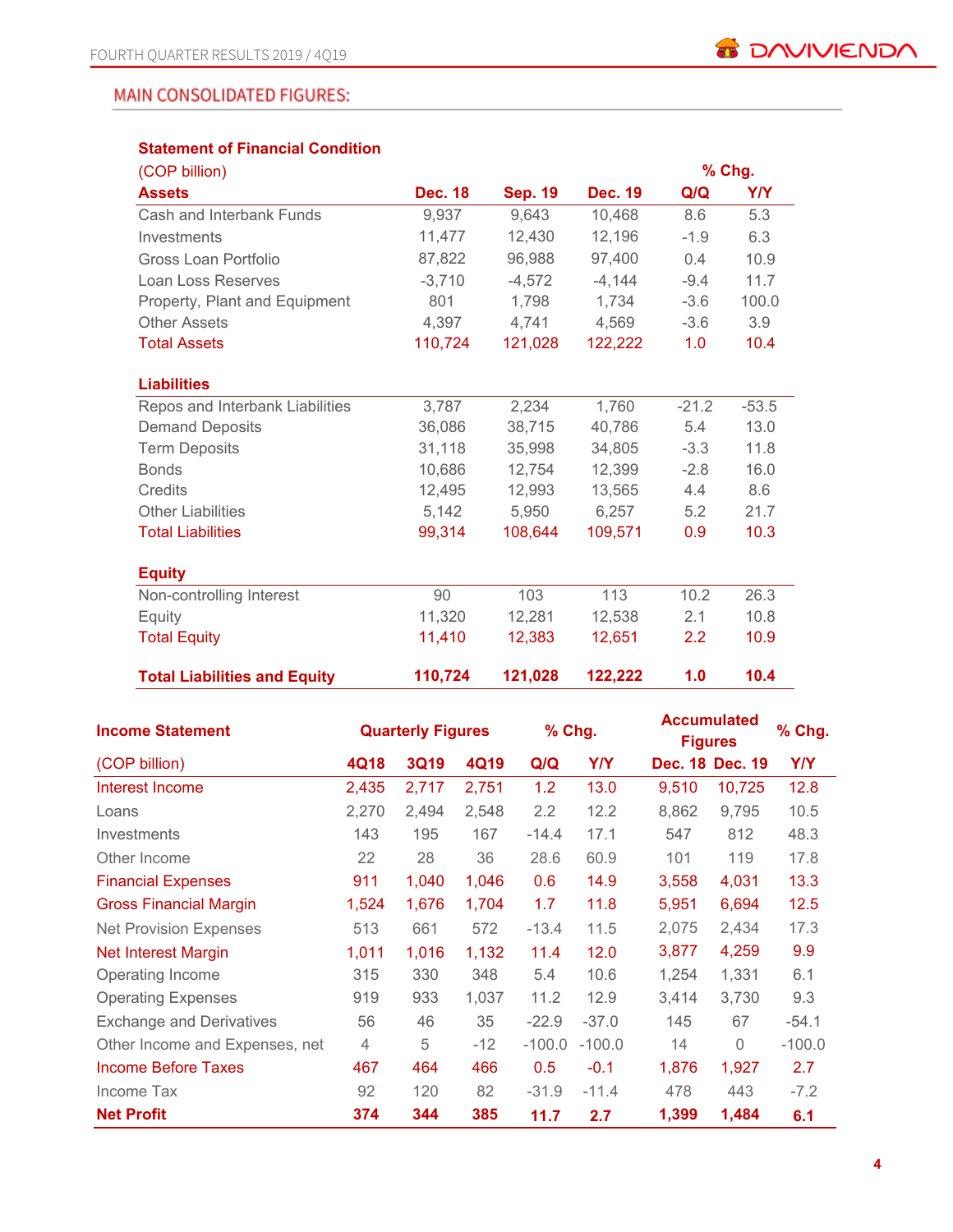## **MAIN CONSOLIDATED FIGURES:**

## **Statement of Financial Condition**

| (COP billion)                       |                |                |                |         | % Chg.     |
|-------------------------------------|----------------|----------------|----------------|---------|------------|
| <b>Assets</b>                       | <b>Dec. 18</b> | <b>Sep. 19</b> | <b>Dec. 19</b> | Q/Q     | <b>Y/Y</b> |
| Cash and Interbank Funds            | 9,937          | 9,643          | 10,468         | 8.6     | 5.3        |
| Investments                         | 11,477         | 12,430         | 12,196         | $-1.9$  | 6.3        |
| Gross Loan Portfolio                | 87,822         | 96,988         | 97,400         | 0.4     | 10.9       |
| Loan Loss Reserves                  | $-3,710$       | $-4,572$       | $-4,144$       | $-9.4$  | 11.7       |
| Property, Plant and Equipment       | 801            | 1,798          | 1,734          | $-3.6$  | 100.0      |
| <b>Other Assets</b>                 | 4,397          | 4,741          | 4,569          | $-3.6$  | 3.9        |
| <b>Total Assets</b>                 | 110,724        | 121,028        | 122,222        | 1.0     | 10.4       |
|                                     |                |                |                |         |            |
| <b>Liabilities</b>                  |                |                |                |         |            |
| Repos and Interbank Liabilities     | 3,787          | 2,234          | 1,760          | $-21.2$ | $-53.5$    |
| <b>Demand Deposits</b>              | 36,086         | 38,715         | 40,786         | 5.4     | 13.0       |
| <b>Term Deposits</b>                | 31,118         | 35,998         | 34,805         | $-3.3$  | 11.8       |
| <b>Bonds</b>                        | 10,686         | 12,754         | 12,399         | $-2.8$  | 16.0       |
| Credits                             | 12,495         | 12,993         | 13.565         | 4.4     | 8.6        |
| <b>Other Liabilities</b>            | 5,142          | 5,950          | 6,257          | 5.2     | 21.7       |
| <b>Total Liabilities</b>            | 99,314         | 108,644        | 109,571        | 0.9     | 10.3       |
|                                     |                |                |                |         |            |
| <b>Equity</b>                       |                |                |                |         |            |
| Non-controlling Interest            | 90             | 103            | 113            | 10.2    | 26.3       |
| Equity                              | 11,320         | 12,281         | 12,538         | 2.1     | 10.8       |
| <b>Total Equity</b>                 | 11,410         | 12,383         | 12,651         | 2.2     | 10.9       |
|                                     |                |                |                |         |            |
| <b>Total Liabilities and Equity</b> | 110,724        | 121,028        | 122,222        | 1.0     | 10.4       |

| <b>Income Statement</b>         | <b>Quarterly Figures</b> |             |       | % Chg.   |            | <b>Accumulated</b><br><b>Figures</b> | % Chg.          |          |
|---------------------------------|--------------------------|-------------|-------|----------|------------|--------------------------------------|-----------------|----------|
| (COP billion)                   | 4Q18                     | <b>3Q19</b> | 4Q19  | Q/Q      | <b>Y/Y</b> |                                      | Dec. 18 Dec. 19 | Y/Y      |
| Interest Income                 | 2,435                    | 2,717       | 2,751 | 1.2      | 13.0       | 9,510                                | 10,725          | 12.8     |
| Loans                           | 2,270                    | 2,494       | 2,548 | 2.2      | 12.2       | 8,862                                | 9,795           | 10.5     |
| Investments                     | 143                      | 195         | 167   | $-14.4$  | 17.1       | 547                                  | 812             | 48.3     |
| Other Income                    | 22                       | 28          | 36    | 28.6     | 60.9       | 101                                  | 119             | 17.8     |
| <b>Financial Expenses</b>       | 911                      | 1,040       | 1,046 | 0.6      | 14.9       | 3,558                                | 4,031           | 13.3     |
| <b>Gross Financial Margin</b>   | 1,524                    | 1,676       | 1,704 | 1.7      | 11.8       | 5,951                                | 6,694           | 12.5     |
| <b>Net Provision Expenses</b>   | 513                      | 661         | 572   | $-13.4$  | 11.5       | 2,075                                | 2,434           | 17.3     |
| <b>Net Interest Margin</b>      | 1,011                    | 1,016       | 1,132 | 11.4     | 12.0       | 3,877                                | 4,259           | 9.9      |
| Operating Income                | 315                      | 330         | 348   | 5.4      | 10.6       | 1,254                                | 1,331           | 6.1      |
| <b>Operating Expenses</b>       | 919                      | 933         | 1,037 | 11.2     | 12.9       | 3,414                                | 3,730           | 9.3      |
| <b>Exchange and Derivatives</b> | 56                       | 46          | 35    | $-22.9$  | $-37.0$    | 145                                  | 67              | $-54.1$  |
| Other Income and Expenses, net  | $\overline{4}$           | 5           | $-12$ | $-100.0$ | $-100.0$   | 14                                   | $\Omega$        | $-100.0$ |
| <b>Income Before Taxes</b>      | 467                      | 464         | 466   | 0.5      | $-0.1$     | 1,876                                | 1,927           | 2.7      |
| Income Tax                      | 92                       | 120         | 82    | $-31.9$  | $-11.4$    | 478                                  | 443             | $-7.2$   |
| <b>Net Profit</b>               | 374                      | 344         | 385   | 11.7     | 2.7        | 1,399                                | 1,484           | 6.1      |

**4**

**B** DAVIVIENDA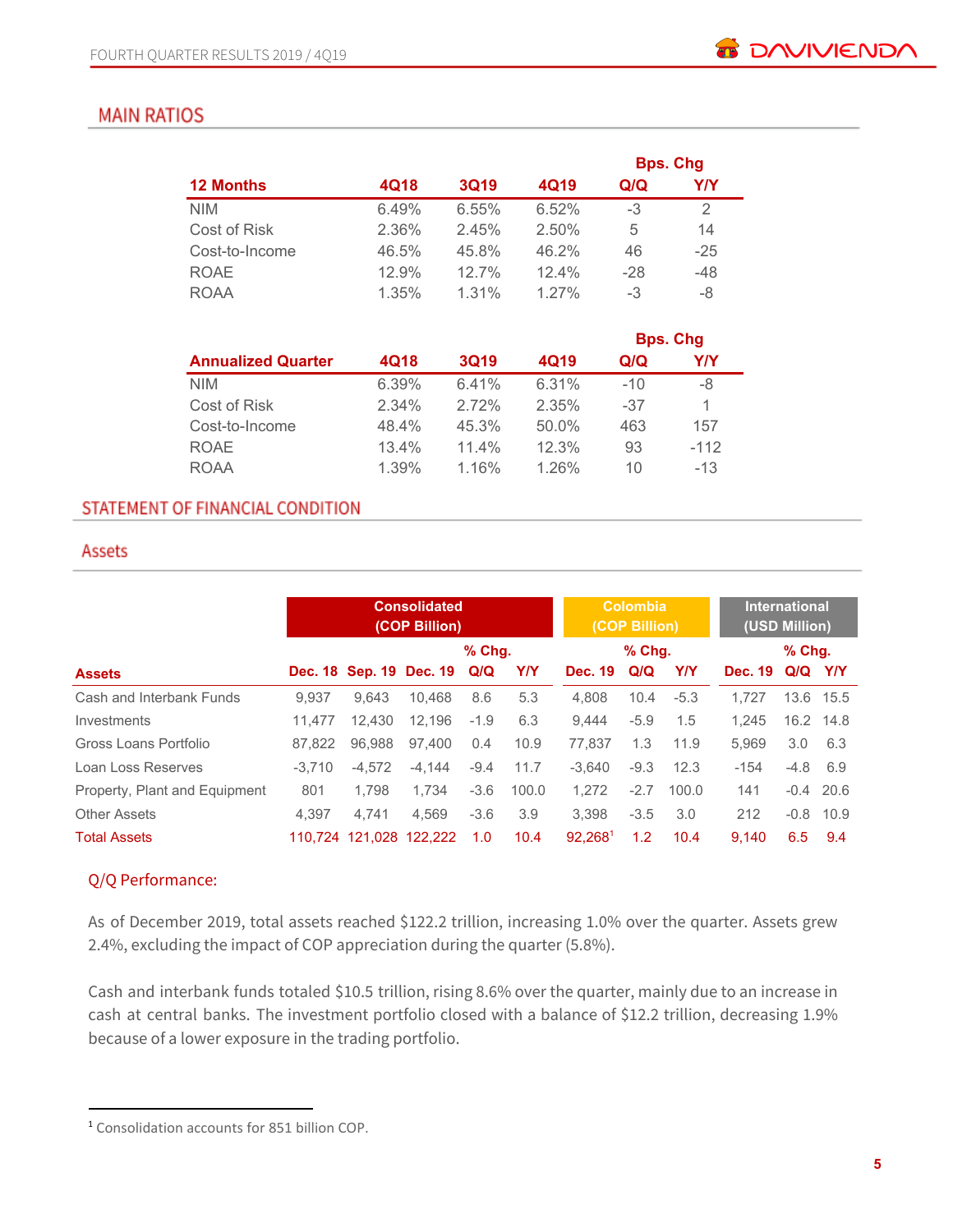## **MAIN RATIOS**

|                  |       |             |       |       | <b>Bps. Chg</b> |
|------------------|-------|-------------|-------|-------|-----------------|
| <b>12 Months</b> | 4Q18  | <b>3Q19</b> | 4Q19  | Q/Q   | Y/Y             |
| <b>NIM</b>       | 6.49% | 6.55%       | 6.52% | $-3$  | 2               |
| Cost of Risk     | 2.36% | 2.45%       | 2.50% | 5     | 14              |
| Cost-to-Income   | 46.5% | 45.8%       | 46.2% | 46    | $-25$           |
| <b>ROAE</b>      | 12.9% | 127%        | 12.4% | $-28$ | $-48$           |
| <b>ROAA</b>      | 1.35% | $1.31\%$    | 1.27% | -3    | -8              |

|                           |       |             |          |       | <b>Bps. Chg</b> |
|---------------------------|-------|-------------|----------|-------|-----------------|
| <b>Annualized Quarter</b> | 4Q18  | <b>3Q19</b> | 4Q19     | Q/Q   | Y/Y             |
| <b>NIM</b>                | 6.39% | 6.41%       | 6.31%    | $-10$ | -8              |
| Cost of Risk              | 2.34% | 2.72%       | 2.35%    | -37   | 1               |
| Cost-to-Income            | 48.4% | 45.3%       | $50.0\%$ | 463   | 157             |
| <b>ROAE</b>               | 13.4% | 11.4%       | 12.3%    | 93    | $-112$          |
| <b>ROAA</b>               | 1.39% | 1.16%       | 1.26%    | 10    | $-13$           |

## STATEMENT OF FINANCIAL CONDITION

#### Assets

|                               |          | <b>Consolidated</b><br>(COP Billion) |                         |          | Colombia<br>(COP Billion) |                     |        | <b>International</b><br>(USD Million) |                |               |             |
|-------------------------------|----------|--------------------------------------|-------------------------|----------|---------------------------|---------------------|--------|---------------------------------------|----------------|---------------|-------------|
|                               |          |                                      |                         | $%$ Chq. |                           |                     | % Chg. |                                       |                | $%$ Chq.      |             |
| <b>Assets</b>                 |          |                                      | Dec. 18 Sep. 19 Dec. 19 | Q/Q      | <b>Y/Y</b>                | <b>Dec. 19</b>      | Q/Q    | YN                                    | <b>Dec. 19</b> | Q/Q Y/Y       |             |
| Cash and Interbank Funds      | 9.937    | 9.643                                | 10.468                  | 8.6      | 5.3                       | 4.808               | 10.4   | $-5.3$                                | 1.727          |               | 13.6 15.5   |
| Investments                   | 11.477   | 12.430                               | 12.196                  | $-1.9$   | 6.3                       | 9.444               | $-5.9$ | 1.5                                   | 1.245          |               | 16.2 14.8   |
| Gross Loans Portfolio         | 87.822   | 96.988                               | 97.400                  | 0.4      | 10.9                      | 77.837              | 1.3    | 11.9                                  | 5.969          | $3.0^{\circ}$ | 6.3         |
| Loan Loss Reserves            | $-3.710$ | $-4.572$                             | $-4.144$                | $-9.4$   | 11.7                      | $-3.640$            | $-9.3$ | 12.3                                  | $-154$         | $-4.8$ 6.9    |             |
| Property, Plant and Equipment | 801      | 1.798                                | 1.734                   | $-3.6$   | 100.0                     | 1.272               | $-2.7$ | 100.0                                 | 141            |               | $-0.4$ 20.6 |
| <b>Other Assets</b>           | 4.397    | 4.741                                | 4.569                   | $-3.6$   | 3.9                       | 3.398               | $-3.5$ | 3.0                                   | 212            |               | $-0.8$ 10.9 |
| <b>Total Assets</b>           |          | 110.724 121.028 122.222              |                         | 1.0      | 10.4                      | 92.268 <sup>1</sup> | 1.2    | 10.4                                  | 9.140          | 6.5           | 9.4         |

## Q/Q Performance:

As of December 2019, total assets reached \$122.2 trillion, increasing 1.0% over the quarter. Assets grew 2.4%, excluding the impact of COP appreciation during the quarter (5.8%).

Cash and interbank funds totaled \$10.5 trillion, rising 8.6% over the quarter, mainly due to an increase in cash at central banks. The investment portfolio closed with a balance of \$12.2 trillion, decreasing 1.9% because of a lower exposure in the trading portfolio.

<sup>1</sup> Consolidation accounts for 851 billion COP.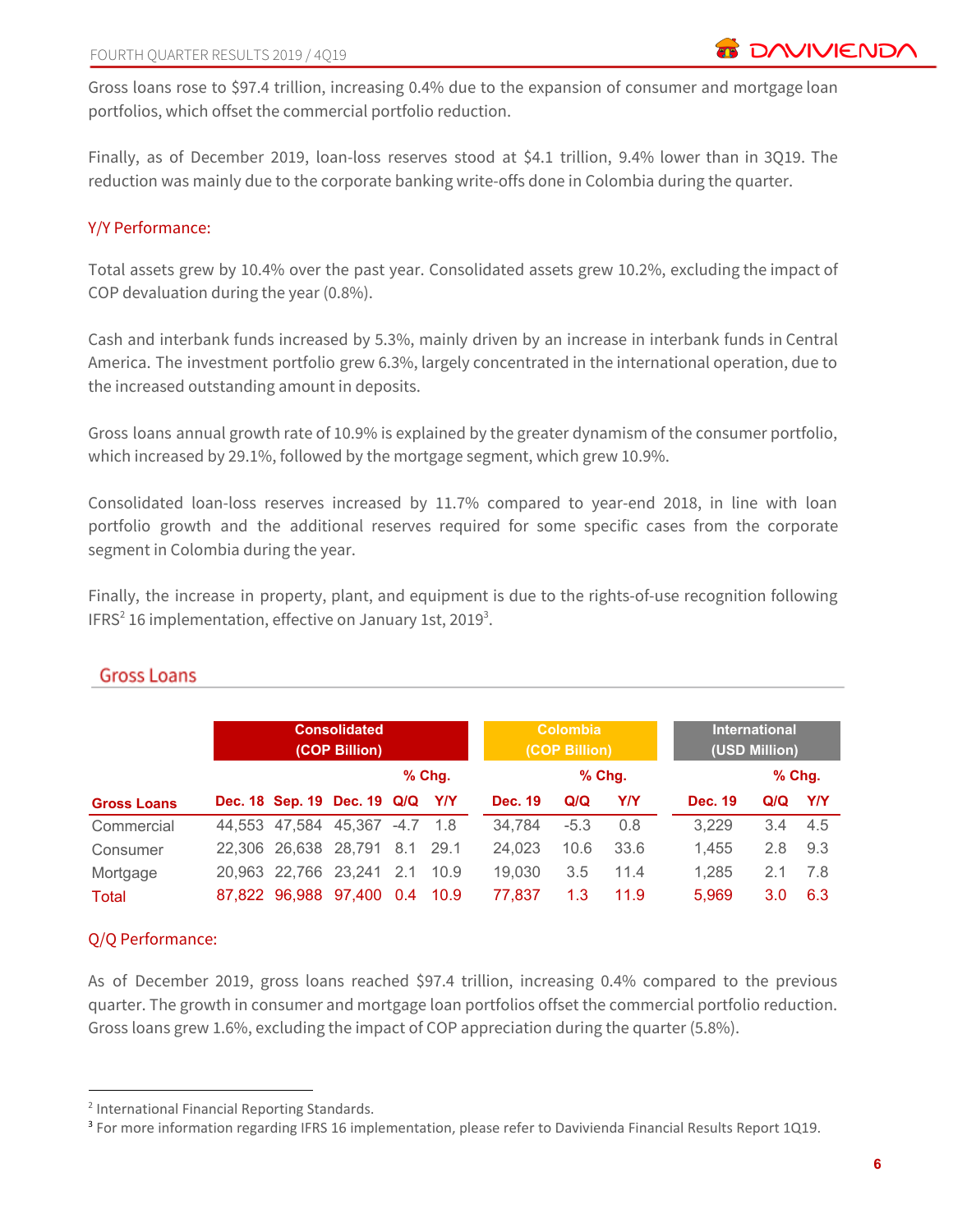Gross loans rose to \$97.4 trillion, increasing 0.4% due to the expansion of consumer and mortgage loan portfolios, which offset the commercial portfolio reduction.

Finally, as of December 2019, loan-loss reserves stood at \$4.1 trillion, 9.4% lower than in 3Q19. The reduction was mainly due to the corporate banking write-offs done in Colombia during the quarter.

## Y/Y Performance:

Total assets grew by 10.4% over the past year. Consolidated assets grew 10.2%, excluding the impact of COP devaluation during the year (0.8%).

Cash and interbank funds increased by 5.3%, mainly driven by an increase in interbank funds in Central America. The investment portfolio grew 6.3%, largely concentrated in the international operation, due to the increased outstanding amount in deposits.

Gross loans annual growth rate of 10.9% is explained by the greater dynamism of the consumer portfolio, which increased by 29.1%, followed by the mortgage segment, which grew 10.9%.

Consolidated loan-loss reserves increased by 11.7% compared to year-end 2018, in line with loan portfolio growth and the additional reserves required for some specific cases from the corporate segment in Colombia during the year.

Finally, the increase in property, plant, and equipment is due to the rights-of-use recognition following IFRS<sup>2</sup> 16 implementation, effective on January 1st, 2019<sup>3</sup>.

|                    | <b>Consolidated</b><br>(COP Billion) |                      |                                 |     | <b>Colombia</b><br>(COP Billion) |                |        | <b>International</b><br>(USD Million) |                |          |     |
|--------------------|--------------------------------------|----------------------|---------------------------------|-----|----------------------------------|----------------|--------|---------------------------------------|----------------|----------|-----|
|                    |                                      |                      |                                 |     | $%$ Chg.                         |                |        | $%$ Chq.                              |                | $%$ Chg. |     |
| <b>Gross Loans</b> |                                      |                      | Dec. 18 Sep. 19 Dec. 19 Q/Q Y/Y |     |                                  | <b>Dec. 19</b> | Q/Q    | <b>Y/Y</b>                            | <b>Dec. 19</b> | Q/Q      | Y/Y |
| Commercial         |                                      |                      | 44,553 47,584 45,367 -4.7 1.8   |     |                                  | 34.784         | $-5.3$ | 0.8                                   | 3,229          | 3.4      | 4.5 |
| Consumer           |                                      | 22,306 26,638 28,791 |                                 |     | 8.1 29.1                         | 24,023         | 10.6   | 33.6                                  | 1.455          | 2.8      | 9.3 |
| Mortgage           |                                      | 20,963 22,766 23,241 |                                 |     | 2.1 10.9                         | 19,030         | 3.5    | 11.4                                  | 1,285          | 2.1      | 7.8 |
| Total              |                                      |                      | 87,822 96,988 97,400            | 0.4 | 10.9                             | 77.837         | 1.3    | 11.9                                  | 5.969          | 3.0      | 6.3 |

## **Gross Loans**

## Q/Q Performance:

As of December 2019, gross loans reached \$97.4 trillion, increasing 0.4% compared to the previous quarter. The growth in consumer and mortgage loan portfolios offset the commercial portfolio reduction. Gross loans grew 1.6%, excluding the impact of COP appreciation during the quarter (5.8%).

<sup>2</sup> International Financial Reporting Standards.

<sup>&</sup>lt;sup>3</sup> For more information regarding IFRS 16 implementation, please refer to Davivienda Financial Results Report 1Q19.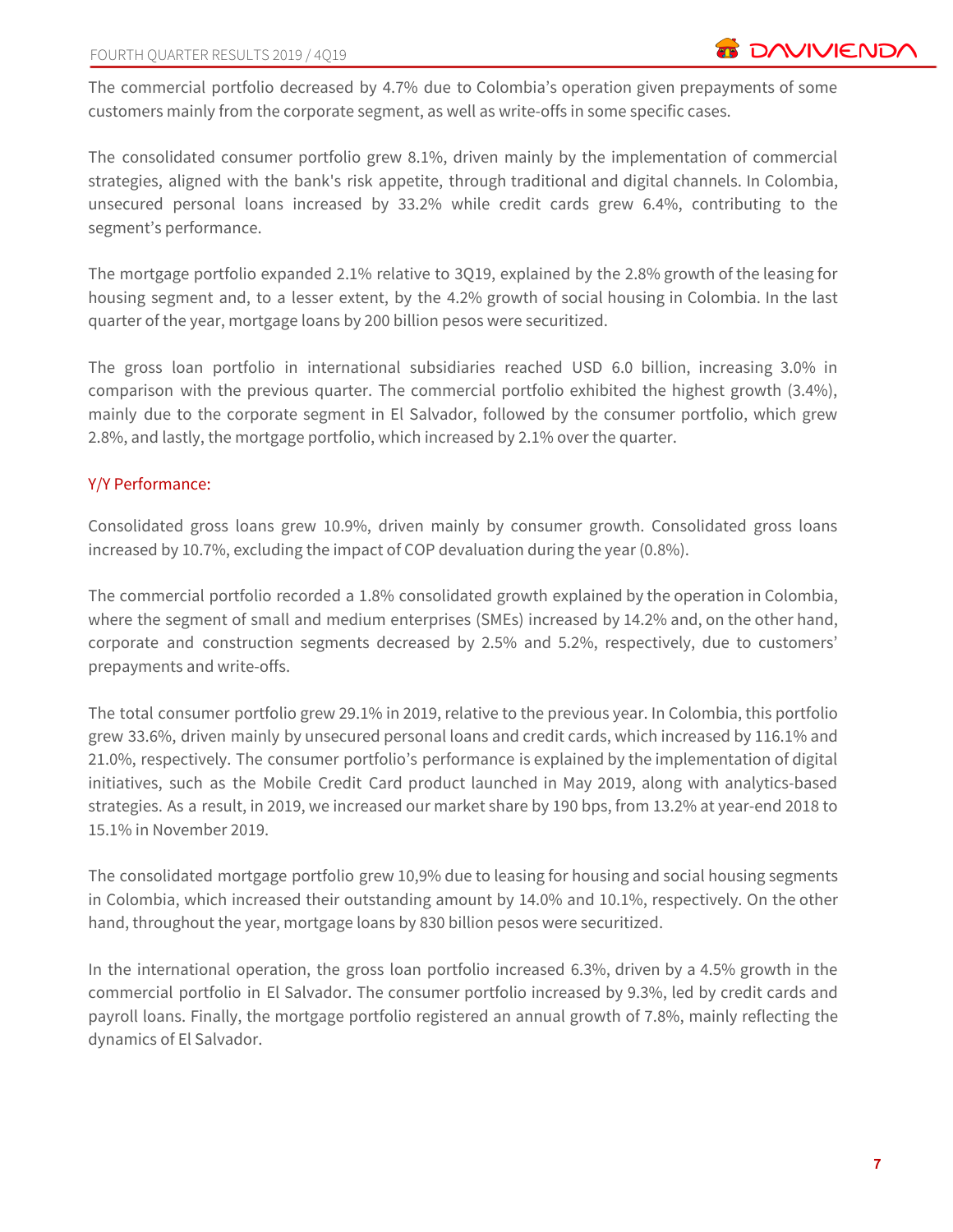The commercial portfolio decreased by 4.7% due to Colombia's operation given prepayments of some customers mainly from the corporate segment, as well as write-offs in some specific cases.

The consolidated consumer portfolio grew 8.1%, driven mainly by the implementation of commercial strategies, aligned with the bank's risk appetite, through traditional and digital channels. In Colombia, unsecured personal loans increased by 33.2% while credit cards grew 6.4%, contributing to the segment's performance.

The mortgage portfolio expanded 2.1% relative to 3Q19, explained by the 2.8% growth of the leasing for housing segment and, to a lesser extent, by the 4.2% growth of social housing in Colombia. In the last quarter of the year, mortgage loans by 200 billion pesos were securitized.

The gross loan portfolio in international subsidiaries reached USD 6.0 billion, increasing 3.0% in comparison with the previous quarter. The commercial portfolio exhibited the highest growth (3.4%), mainly due to the corporate segment in El Salvador, followed by the consumer portfolio, which grew 2.8%, and lastly, the mortgage portfolio, which increased by 2.1% over the quarter.

## Y/Y Performance:

Consolidated gross loans grew 10.9%, driven mainly by consumer growth. Consolidated gross loans increased by 10.7%, excluding the impact of COP devaluation during the year (0.8%).

The commercial portfolio recorded a 1.8% consolidated growth explained by the operation in Colombia, where the segment of small and medium enterprises (SMEs) increased by 14.2% and, on the other hand, corporate and construction segments decreased by 2.5% and 5.2%, respectively, due to customers' prepayments and write-offs.

The total consumer portfolio grew 29.1% in 2019, relative to the previous year. In Colombia, this portfolio grew 33.6%, driven mainly by unsecured personal loans and credit cards, which increased by 116.1% and 21.0%, respectively. The consumer portfolio's performance is explained by the implementation of digital initiatives, such as the Mobile Credit Card product launched in May 2019, along with analytics-based strategies. As a result, in 2019, we increased our market share by 190 bps, from 13.2% at year-end 2018 to 15.1% in November 2019.

The consolidated mortgage portfolio grew 10,9% due to leasing for housing and social housing segments in Colombia, which increased their outstanding amount by 14.0% and 10.1%, respectively. On the other hand, throughout the year, mortgage loans by 830 billion pesos were securitized.

In the international operation, the gross loan portfolio increased 6.3%, driven by a 4.5% growth in the commercial portfolio in El Salvador. The consumer portfolio increased by 9.3%, led by credit cards and payroll loans. Finally, the mortgage portfolio registered an annual growth of 7.8%, mainly reflecting the dynamics of El Salvador.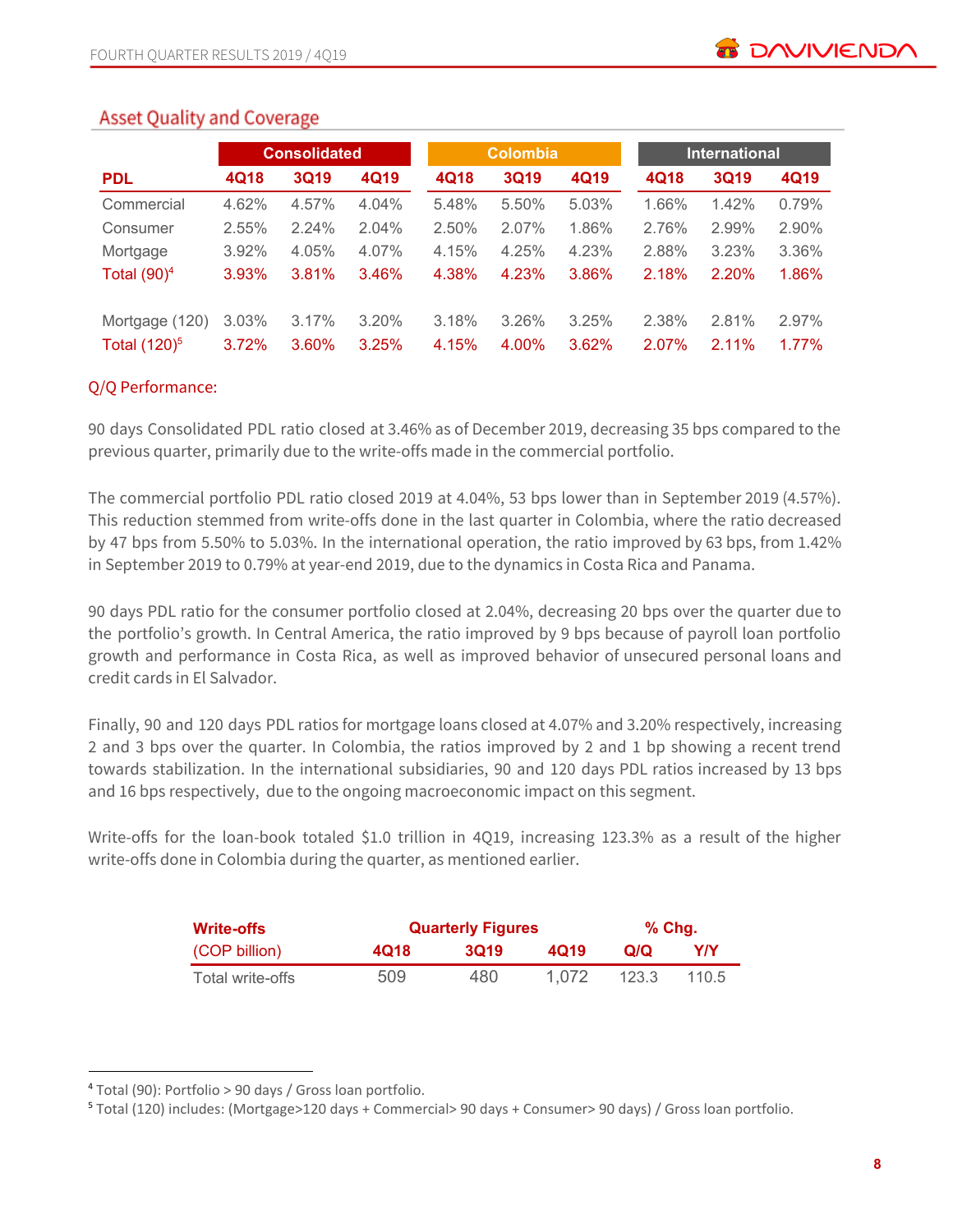## **Asset Quality and Coverage**

|                 |       | <b>Consolidated</b> |       |       | <b>Colombia</b> |       |       | <b>International</b> |          |  |  |
|-----------------|-------|---------------------|-------|-------|-----------------|-------|-------|----------------------|----------|--|--|
| <b>PDL</b>      | 4Q18  | <b>3Q19</b>         | 4Q19  | 4Q18  | <b>3Q19</b>     | 4Q19  | 4Q18  | 3Q19                 | 4Q19     |  |  |
| Commercial      | 4.62% | 4.57%               | 4.04% | 5.48% | 5.50%           | 5.03% | 1.66% | 1.42%                | 0.79%    |  |  |
| Consumer        | 2.55% | 2.24%               | 2.04% | 2.50% | 2.07%           | 1.86% | 2.76% | 2.99%                | 2.90%    |  |  |
| Mortgage        | 3.92% | 4.05%               | 4.07% | 4.15% | 4.25%           | 4.23% | 2.88% | 3.23%                | 3.36%    |  |  |
| Total $(90)^4$  | 3.93% | 3.81%               | 3.46% | 4.38% | 4.23%           | 3.86% | 2.18% | 2.20%                | 1.86%    |  |  |
| Mortgage (120)  | 3.03% | 3.17%               | 3.20% | 3.18% | 3.26%           | 3.25% | 2.38% | 2.81%                | 2.97%    |  |  |
| Total $(120)^5$ | 3.72% | 3.60%               | 3.25% | 4.15% | 4.00%           | 3.62% | 2.07% | $2.11\%$             | $1.77\%$ |  |  |

## Q/Q Performance:

90 days Consolidated PDL ratio closed at 3.46% as of December 2019, decreasing 35 bps compared to the previous quarter, primarily due to the write-offs made in the commercial portfolio.

The commercial portfolio PDL ratio closed 2019 at 4.04%, 53 bps lower than in September 2019 (4.57%). This reduction stemmed from write-offs done in the last quarter in Colombia, where the ratio decreased by 47 bps from 5.50% to 5.03%. In the international operation, the ratio improved by 63 bps, from 1.42% in September 2019 to 0.79% at year-end 2019, due to the dynamics in Costa Rica and Panama.

90 days PDL ratio for the consumer portfolio closed at 2.04%, decreasing 20 bps over the quarter due to the portfolio's growth. In Central America, the ratio improved by 9 bps because of payroll loan portfolio growth and performance in Costa Rica, as well as improved behavior of unsecured personal loans and credit cards in El Salvador.

Finally, 90 and 120 days PDL ratios for mortgage loans closed at 4.07% and 3.20% respectively, increasing 2 and 3 bps over the quarter. In Colombia, the ratios improved by 2 and 1 bp showing a recent trend towards stabilization. In the international subsidiaries, 90 and 120 days PDL ratios increased by 13 bps and 16 bps respectively, due to the ongoing macroeconomic impact on this segment.

Write-offs for the loan-book totaled \$1.0 trillion in 4Q19, increasing 123.3% as a result of the higher write-offs done in Colombia during the quarter, as mentioned earlier.

| <b>Write-offs</b> |      | <b>Quarterly Figures</b> | $%$ Chg. |       |       |
|-------------------|------|--------------------------|----------|-------|-------|
| (COP billion)     | 4018 | <b>3019</b>              | 4019     | Q/Q   | YIY   |
| Total write-offs  | 509  | 480                      | 1.072    | 123.3 | 110.5 |

<sup>4</sup> Total (90): Portfolio > 90 days / Gross loan portfolio.

<sup>5</sup> Total (120) includes: (Mortgage>120 days + Commercial> 90 days + Consumer> 90 days) / Gross loan portfolio.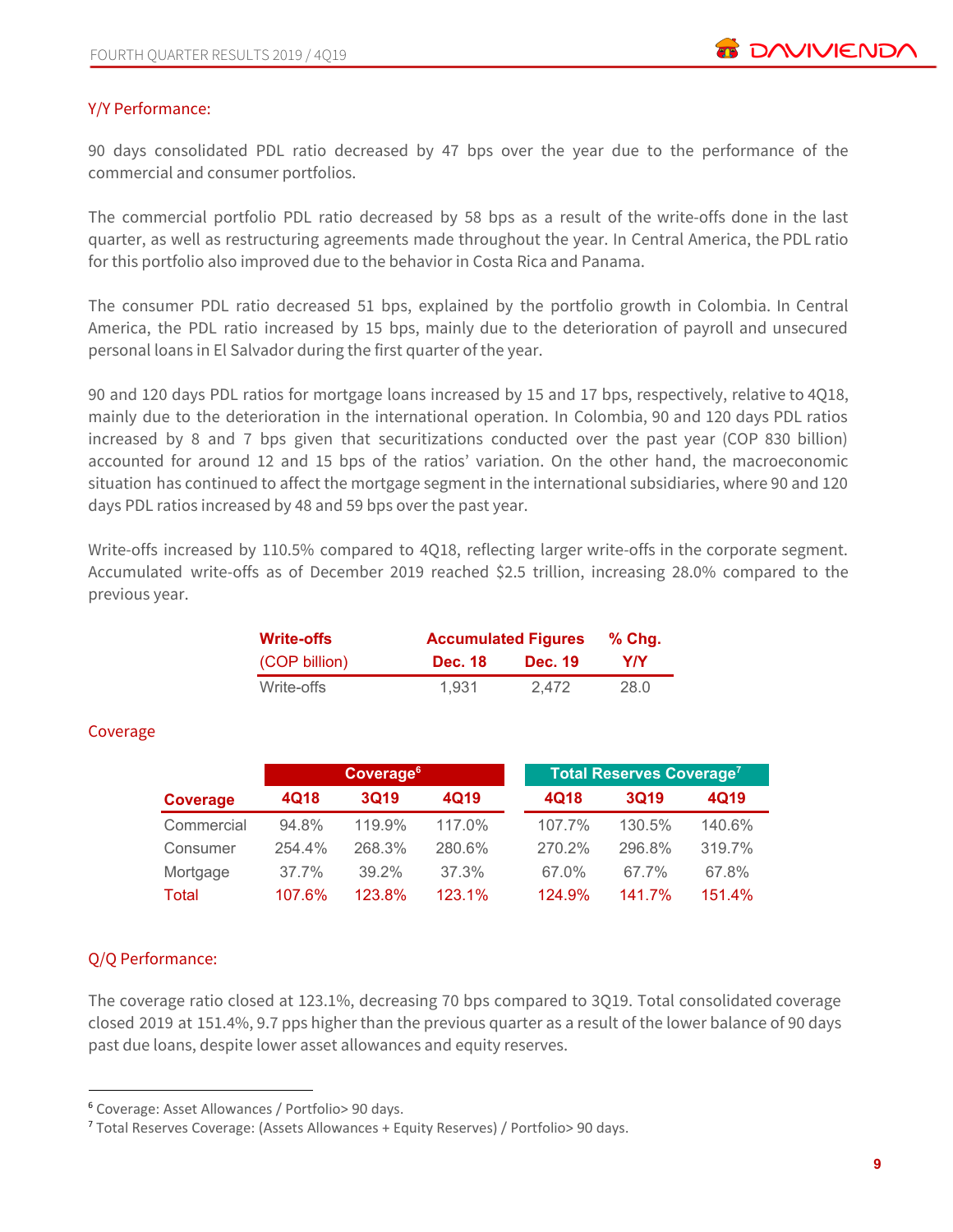## Y/Y Performance:

90 days consolidated PDL ratio decreased by 47 bps over the year due to the performance of the commercial and consumer portfolios.

The commercial portfolio PDL ratio decreased by 58 bps as a result of the write-offs done in the last quarter, as well as restructuring agreements made throughout the year. In Central America, the PDL ratio for this portfolio also improved due to the behavior in Costa Rica and Panama.

The consumer PDL ratio decreased 51 bps, explained by the portfolio growth in Colombia. In Central America, the PDL ratio increased by 15 bps, mainly due to the deterioration of payroll and unsecured personal loans in El Salvador during the first quarter of the year.

90 and 120 days PDL ratios for mortgage loans increased by 15 and 17 bps, respectively, relative to 4Q18, mainly due to the deterioration in the international operation. In Colombia, 90 and 120 days PDL ratios increased by 8 and 7 bps given that securitizations conducted over the past year (COP 830 billion) accounted for around 12 and 15 bps of the ratios' variation. On the other hand, the macroeconomic situation has continued to affect the mortgage segment in the international subsidiaries, where 90 and 120 days PDL ratios increased by 48 and 59 bps over the past year.

Write-offs increased by 110.5% compared to 4Q18, reflecting larger write-offs in the corporate segment. Accumulated write-offs as of December 2019 reached \$2.5 trillion, increasing 28.0% compared to the previous year.

| <b>Write-offs</b> |                | <b>Accumulated Figures</b> |      |  |  |  |
|-------------------|----------------|----------------------------|------|--|--|--|
| (COP billion)     | <b>Dec. 18</b> | <b>Dec. 19</b>             | YIY  |  |  |  |
| Write-offs        | 1.931          | 2.472                      | 28.0 |  |  |  |

## Coverage

|              |        | Coverage <sup>6</sup> |        |        | Total Reserves Coverage <sup>7</sup> |        |  |  |  |
|--------------|--------|-----------------------|--------|--------|--------------------------------------|--------|--|--|--|
| Coverage     | 4Q18   | <b>3Q19</b>           | 4Q19   | 4Q18   | <b>3Q19</b>                          | 4Q19   |  |  |  |
| Commercial   | 94.8%  | 119.9%                | 117.0% | 107.7% | 130.5%                               | 140.6% |  |  |  |
| Consumer     | 254.4% | 268.3%                | 280.6% | 270.2% | 296.8%                               | 319.7% |  |  |  |
| Mortgage     | 37.7%  | 39.2%                 | 37.3%  | 67.0%  | 67.7%                                | 67.8%  |  |  |  |
| <b>Total</b> | 107.6% | 123.8%                | 123.1% | 124.9% | 141.7%                               | 151.4% |  |  |  |

## Q/Q Performance:

The coverage ratio closed at 123.1%, decreasing 70 bps compared to 3Q19. Total consolidated coverage closed 2019 at 151.4%, 9.7 pps higher than the previous quarter as a result of the lower balance of 90 days past due loans, despite lower asset allowances and equity reserves.

<sup>6</sup> Coverage: Asset Allowances / Portfolio> 90 days.

<sup>7</sup> Total Reserves Coverage: (Assets Allowances + Equity Reserves) / Portfolio> 90 days.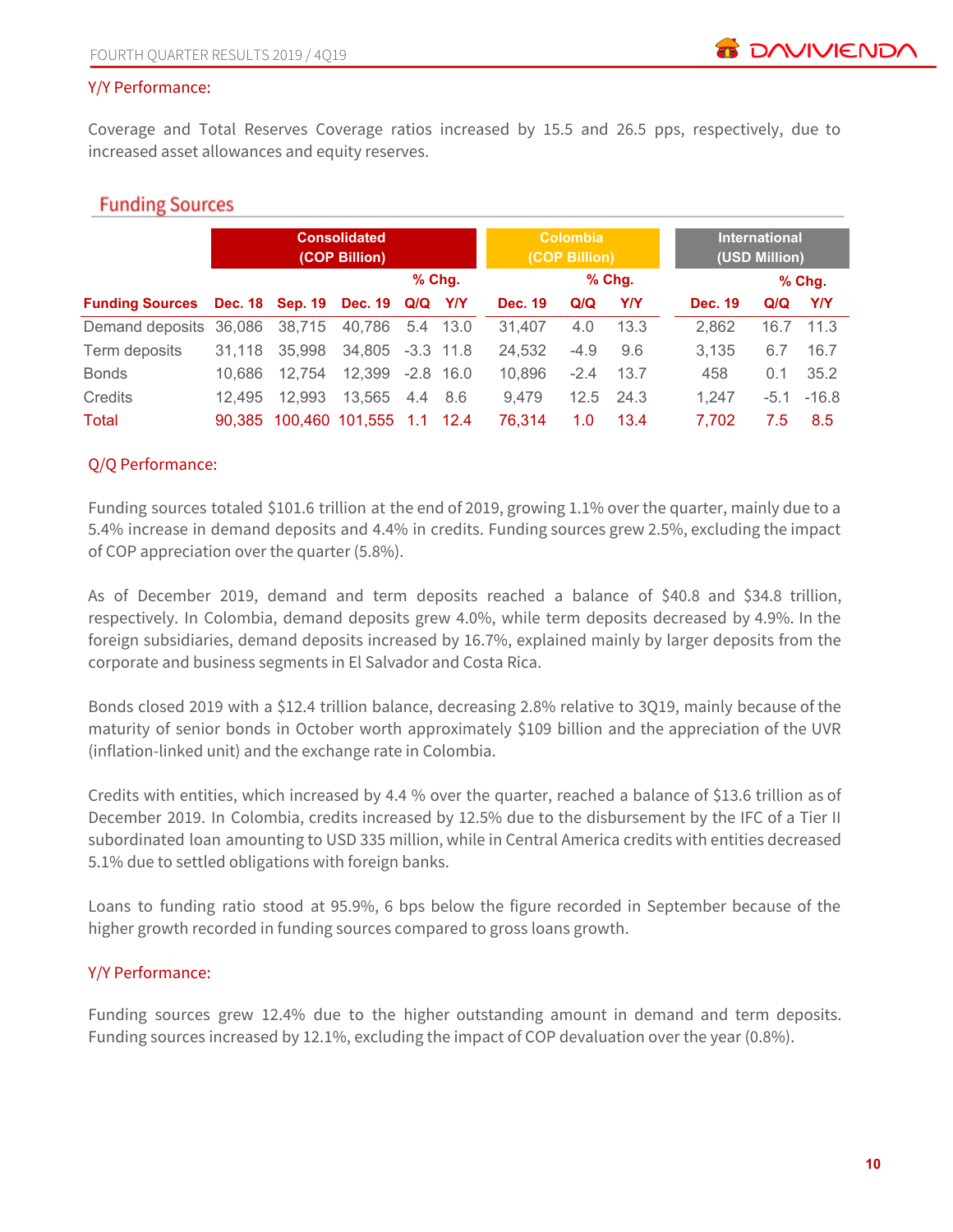#### Y/Y Performance:

Coverage and Total Reserves Coverage ratios increased by 15.5 and 26.5 pps, respectively, due to increased asset allowances and equity reserves.

## **Funding Sources**

|                                                 |        |        | <b>Consolidated</b><br>(COP Billion) |          |          |                | <b>Colombia</b><br>(COP Billion) |            |                | <b>International</b><br>(USD Million) |          |
|-------------------------------------------------|--------|--------|--------------------------------------|----------|----------|----------------|----------------------------------|------------|----------------|---------------------------------------|----------|
|                                                 |        |        |                                      | $%$ Chg. |          |                |                                  | % Chg.     |                |                                       | $%$ Chg. |
| Funding Sources Dec. 18 Sep. 19 Dec. 19 Q/Q Y/Y |        |        |                                      |          |          | <b>Dec. 19</b> | Q/Q                              | <b>Y/Y</b> | <b>Dec. 19</b> | Q/Q                                   | Y/Y      |
| Demand deposits 36,086                          |        | 38,715 | 40,786                               |          | 5.4 13.0 | 31.407         | 4.0                              | 13.3       | 2,862          | 16.7                                  | 11.3     |
| Term deposits                                   | 31.118 | 35,998 | 34,805 -3.3 11.8                     |          |          | 24,532         | $-4.9$                           | 9.6        | 3.135          | 6.7                                   | 16.7     |
| <b>Bonds</b>                                    | 10.686 | 12.754 | 12.399                               | $-2.8$   | - 16.0   | 10,896         | $-2.4$                           | 13.7       | 458            | 0.1                                   | 35.2     |
| Credits                                         | 12.495 | 12.993 | 13.565                               | 4.4 8.6  |          | 9,479          | 12.5                             | 24.3       | 1.247          | $-5.1$                                | $-16.8$  |
| Total                                           | 90.385 |        | 100,460 101,555 1.1                  |          | $-12.4$  | 76.314         | 1.0                              | 13.4       | 7.702          | 7.5                                   | 8.5      |

#### Q/Q Performance:

Funding sources totaled \$101.6 trillion at the end of 2019, growing 1.1% over the quarter, mainly due to a 5.4% increase in demand deposits and 4.4% in credits. Funding sources grew 2.5%, excluding the impact of COP appreciation over the quarter (5.8%).

As of December 2019, demand and term deposits reached a balance of \$40.8 and \$34.8 trillion, respectively. In Colombia, demand deposits grew 4.0%, while term deposits decreased by 4.9%. In the foreign subsidiaries, demand deposits increased by 16.7%, explained mainly by larger deposits from the corporate and business segments in El Salvador and Costa Rica.

Bonds closed 2019 with a \$12.4 trillion balance, decreasing 2.8% relative to 3Q19, mainly because of the maturity of senior bonds in October worth approximately \$109 billion and the appreciation of the UVR (inflation-linked unit) and the exchange rate in Colombia.

Credits with entities, which increased by 4.4 % over the quarter, reached a balance of \$13.6 trillion as of December 2019. In Colombia, credits increased by 12.5% due to the disbursement by the IFC of a Tier II subordinated loan amounting to USD 335 million, while in Central America credits with entities decreased 5.1% due to settled obligations with foreign banks.

Loans to funding ratio stood at 95.9%, 6 bps below the figure recorded in September because of the higher growth recorded in funding sources compared to gross loans growth.

## Y/Y Performance:

Funding sources grew 12.4% due to the higher outstanding amount in demand and term deposits. Funding sources increased by 12.1%, excluding the impact of COP devaluation over the year (0.8%).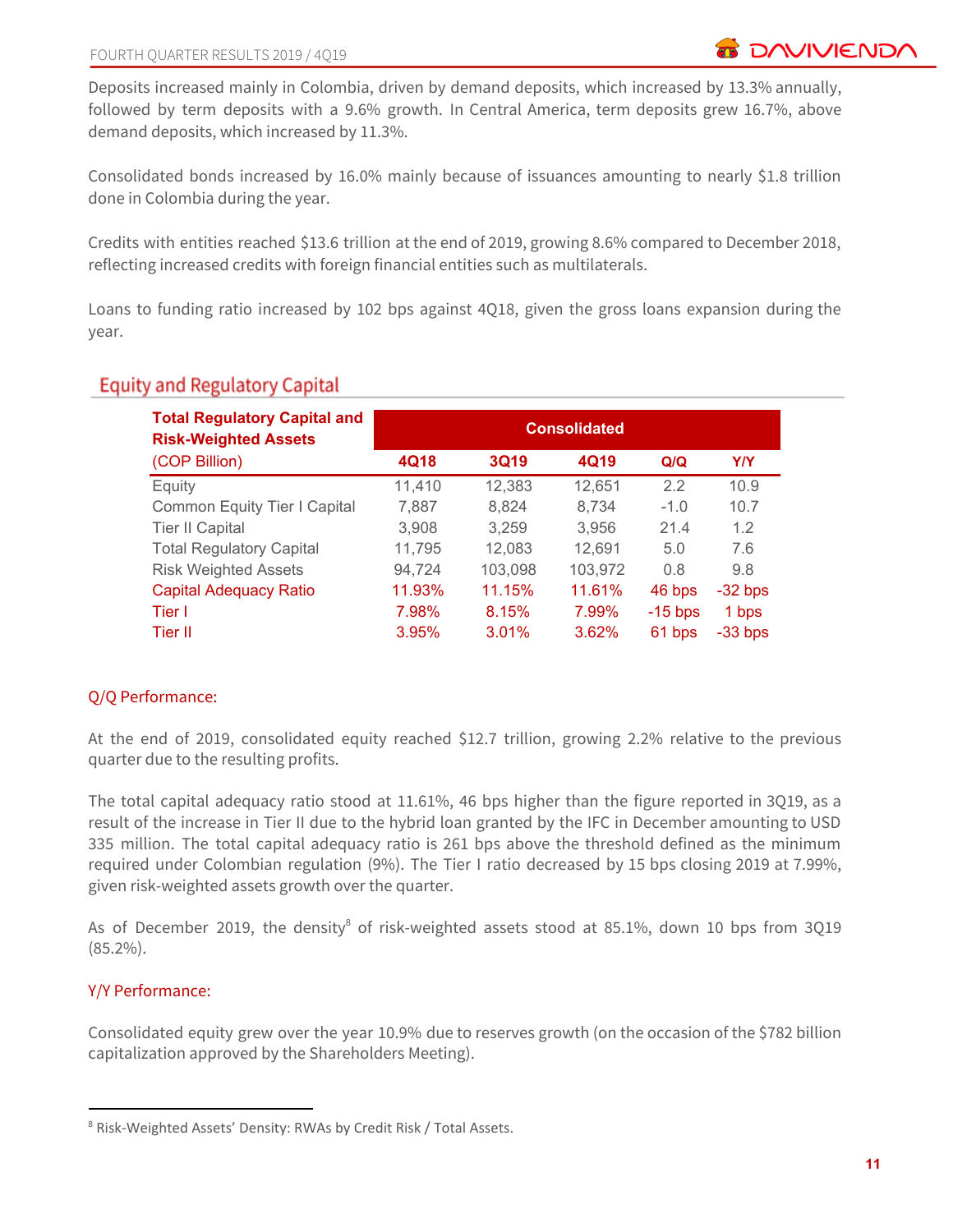Deposits increased mainly in Colombia, driven by demand deposits, which increased by 13.3% annually, followed by term deposits with a 9.6% growth. In Central America, term deposits grew 16.7%, above demand deposits, which increased by 11.3%.

Consolidated bonds increased by 16.0% mainly because of issuances amounting to nearly \$1.8 trillion done in Colombia during the year.

Credits with entities reached \$13.6 trillion at the end of 2019, growing 8.6% compared to December 2018, reflecting increased credits with foreign financial entities such as multilaterals.

Loans to funding ratio increased by 102 bps against 4Q18, given the gross loans expansion during the year.

## **Equity and Regulatory Capital**

| <b>Total Regulatory Capital and</b><br><b>Risk-Weighted Assets</b> | <b>Consolidated</b> |             |         |           |            |  |  |  |  |  |
|--------------------------------------------------------------------|---------------------|-------------|---------|-----------|------------|--|--|--|--|--|
| (COP Billion)                                                      | 4Q18                | <b>3Q19</b> | 4Q19    | Q/Q       | <b>Y/Y</b> |  |  |  |  |  |
| Equity                                                             | 11,410              | 12,383      | 12,651  | 2.2       | 10.9       |  |  |  |  |  |
| Common Equity Tier I Capital                                       | 7,887               | 8,824       | 8,734   | $-1.0$    | 10.7       |  |  |  |  |  |
| <b>Tier II Capital</b>                                             | 3,908               | 3,259       | 3,956   | 21.4      | 1.2        |  |  |  |  |  |
| <b>Total Regulatory Capital</b>                                    | 11,795              | 12,083      | 12,691  | 5.0       | 7.6        |  |  |  |  |  |
| <b>Risk Weighted Assets</b>                                        | 94,724              | 103,098     | 103,972 | 0.8       | 9.8        |  |  |  |  |  |
| <b>Capital Adequacy Ratio</b>                                      | 11.93%              | 11.15%      | 11.61%  | 46 bps    | $-32$ bps  |  |  |  |  |  |
| Tier I                                                             | 7.98%               | 8.15%       | 7.99%   | $-15$ bps | 1 bps      |  |  |  |  |  |
| Tier II                                                            | 3.95%               | 3.01%       | 3.62%   | 61 bps    | $-33$ bps  |  |  |  |  |  |

## Q/Q Performance:

At the end of 2019, consolidated equity reached \$12.7 trillion, growing 2.2% relative to the previous quarter due to the resulting profits.

The total capital adequacy ratio stood at 11.61%, 46 bps higher than the figure reported in 3Q19, as a result of the increase in Tier II due to the hybrid loan granted by the IFC in December amounting to USD 335 million. The total capital adequacy ratio is 261 bps above the threshold defined as the minimum required under Colombian regulation (9%). The Tier I ratio decreased by 15 bps closing 2019 at 7.99%, given risk-weighted assets growth over the quarter.

As of December 2019, the density $8$  of risk-weighted assets stood at 85.1%, down 10 bps from 3Q19 (85.2%).

## Y/Y Performance:

Consolidated equity grew over the year 10.9% due to reserves growth (on the occasion of the \$782 billion capitalization approved by the Shareholders Meeting).

<sup>8</sup> Risk-Weighted Assets' Density: RWAs by Credit Risk / Total Assets.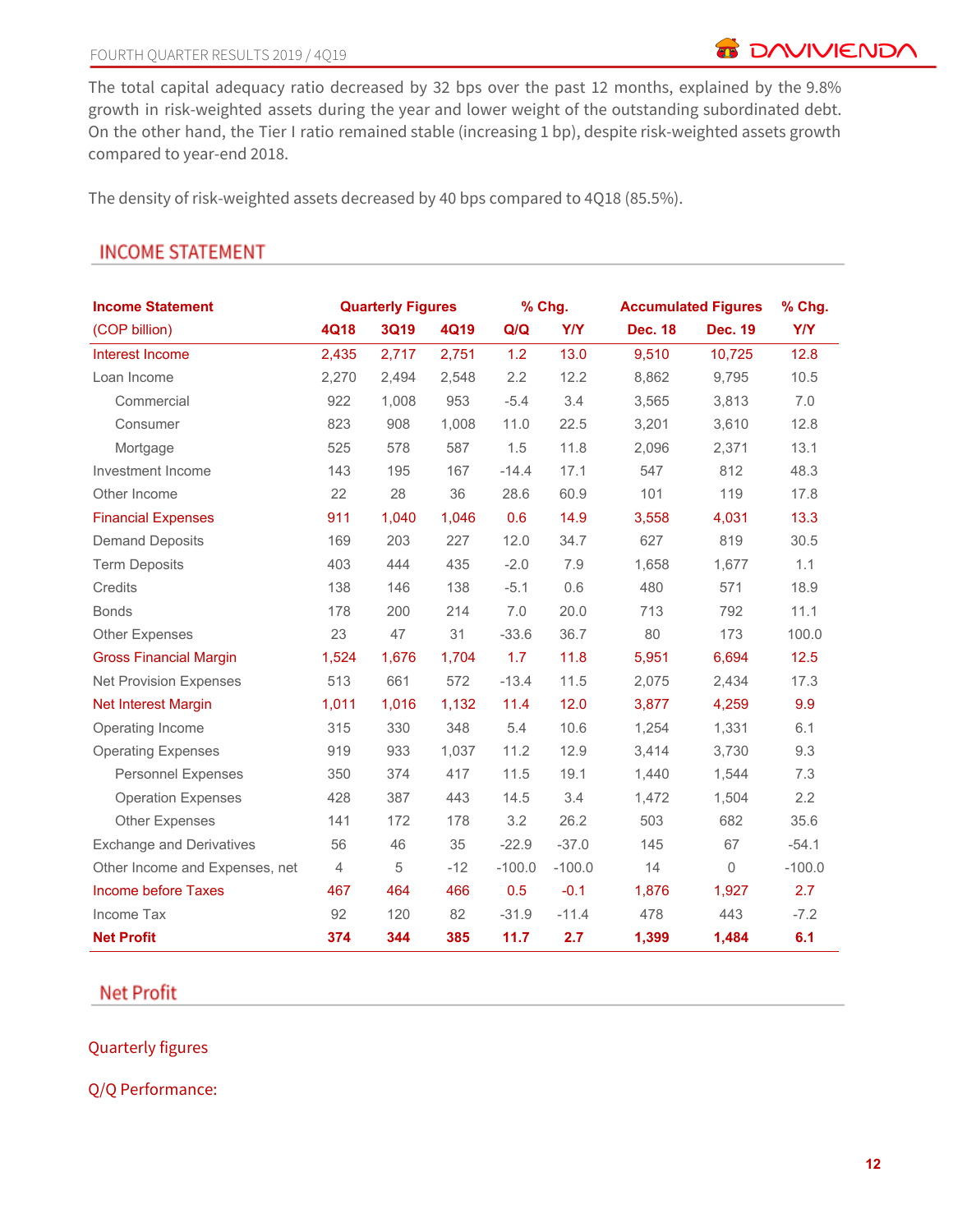**B** DAVIVIENDA

The total capital adequacy ratio decreased by 32 bps over the past 12 months, explained by the 9.8% growth in risk-weighted assets during the year and lower weight of the outstanding subordinated debt. On the other hand, the Tier I ratio remained stable (increasing 1 bp), despite risk-weighted assets growth compared to year-end 2018.

The density of risk-weighted assets decreased by 40 bps compared to 4Q18 (85.5%).

| <b>Income Statement</b>         |                | <b>Quarterly Figures</b> |             |          | % Chg.     |                | <b>Accumulated Figures</b> | % Chg.     |
|---------------------------------|----------------|--------------------------|-------------|----------|------------|----------------|----------------------------|------------|
| (COP billion)                   | 4Q18           | 3Q19                     | <b>4Q19</b> | Q/Q      | <b>Y/Y</b> | <b>Dec. 18</b> | <b>Dec. 19</b>             | <b>Y/Y</b> |
| Interest Income                 | 2,435          | 2,717                    | 2,751       | 1.2      | 13.0       | 9.510          | 10,725                     | 12.8       |
| Loan Income                     | 2,270          | 2,494                    | 2,548       | 2.2      | 12.2       | 8,862          | 9.795                      | 10.5       |
| Commercial                      | 922            | 1,008                    | 953         | $-5.4$   | 3.4        | 3,565          | 3,813                      | 7.0        |
| Consumer                        | 823            | 908                      | 1,008       | 11.0     | 22.5       | 3,201          | 3,610                      | 12.8       |
| Mortgage                        | 525            | 578                      | 587         | 1.5      | 11.8       | 2,096          | 2,371                      | 13.1       |
| Investment Income               | 143            | 195                      | 167         | $-14.4$  | 17.1       | 547            | 812                        | 48.3       |
| Other Income                    | 22             | 28                       | 36          | 28.6     | 60.9       | 101            | 119                        | 17.8       |
| <b>Financial Expenses</b>       | 911            | 1,040                    | 1,046       | 0.6      | 14.9       | 3,558          | 4,031                      | 13.3       |
| <b>Demand Deposits</b>          | 169            | 203                      | 227         | 12.0     | 34.7       | 627            | 819                        | 30.5       |
| <b>Term Deposits</b>            | 403            | 444                      | 435         | $-2.0$   | 7.9        | 1,658          | 1,677                      | 1.1        |
| Credits                         | 138            | 146                      | 138         | $-5.1$   | 0.6        | 480            | 571                        | 18.9       |
| <b>Bonds</b>                    | 178            | 200                      | 214         | 7.0      | 20.0       | 713            | 792                        | 11.1       |
| Other Expenses                  | 23             | 47                       | 31          | $-33.6$  | 36.7       | 80             | 173                        | 100.0      |
| <b>Gross Financial Margin</b>   | 1,524          | 1,676                    | 1,704       | 1.7      | 11.8       | 5,951          | 6,694                      | 12.5       |
| <b>Net Provision Expenses</b>   | 513            | 661                      | 572         | $-13.4$  | 11.5       | 2,075          | 2,434                      | 17.3       |
| Net Interest Margin             | 1,011          | 1,016                    | 1,132       | 11.4     | 12.0       | 3,877          | 4,259                      | 9.9        |
| Operating Income                | 315            | 330                      | 348         | 5.4      | 10.6       | 1,254          | 1,331                      | 6.1        |
| <b>Operating Expenses</b>       | 919            | 933                      | 1,037       | 11.2     | 12.9       | 3,414          | 3,730                      | 9.3        |
| <b>Personnel Expenses</b>       | 350            | 374                      | 417         | 11.5     | 19.1       | 1,440          | 1,544                      | 7.3        |
| <b>Operation Expenses</b>       | 428            | 387                      | 443         | 14.5     | 3.4        | 1,472          | 1,504                      | 2.2        |
| <b>Other Expenses</b>           | 141            | 172                      | 178         | 3.2      | 26.2       | 503            | 682                        | 35.6       |
| <b>Exchange and Derivatives</b> | 56             | 46                       | 35          | $-22.9$  | $-37.0$    | 145            | 67                         | $-54.1$    |
| Other Income and Expenses, net  | $\overline{4}$ | 5                        | $-12$       | $-100.0$ | $-100.0$   | 14             | 0                          | $-100.0$   |
| <b>Income before Taxes</b>      | 467            | 464                      | 466         | 0.5      | $-0.1$     | 1,876          | 1,927                      | 2.7        |
| Income Tax                      | 92             | 120                      | 82          | $-31.9$  | $-11.4$    | 478            | 443                        | $-7.2$     |
| <b>Net Profit</b>               | 374            | 344                      | 385         | 11.7     | 2.7        | 1,399          | 1,484                      | 6.1        |

# **INCOME STATEMENT**

**Net Profit** 

## Quarterly figures

Q/Q Performance: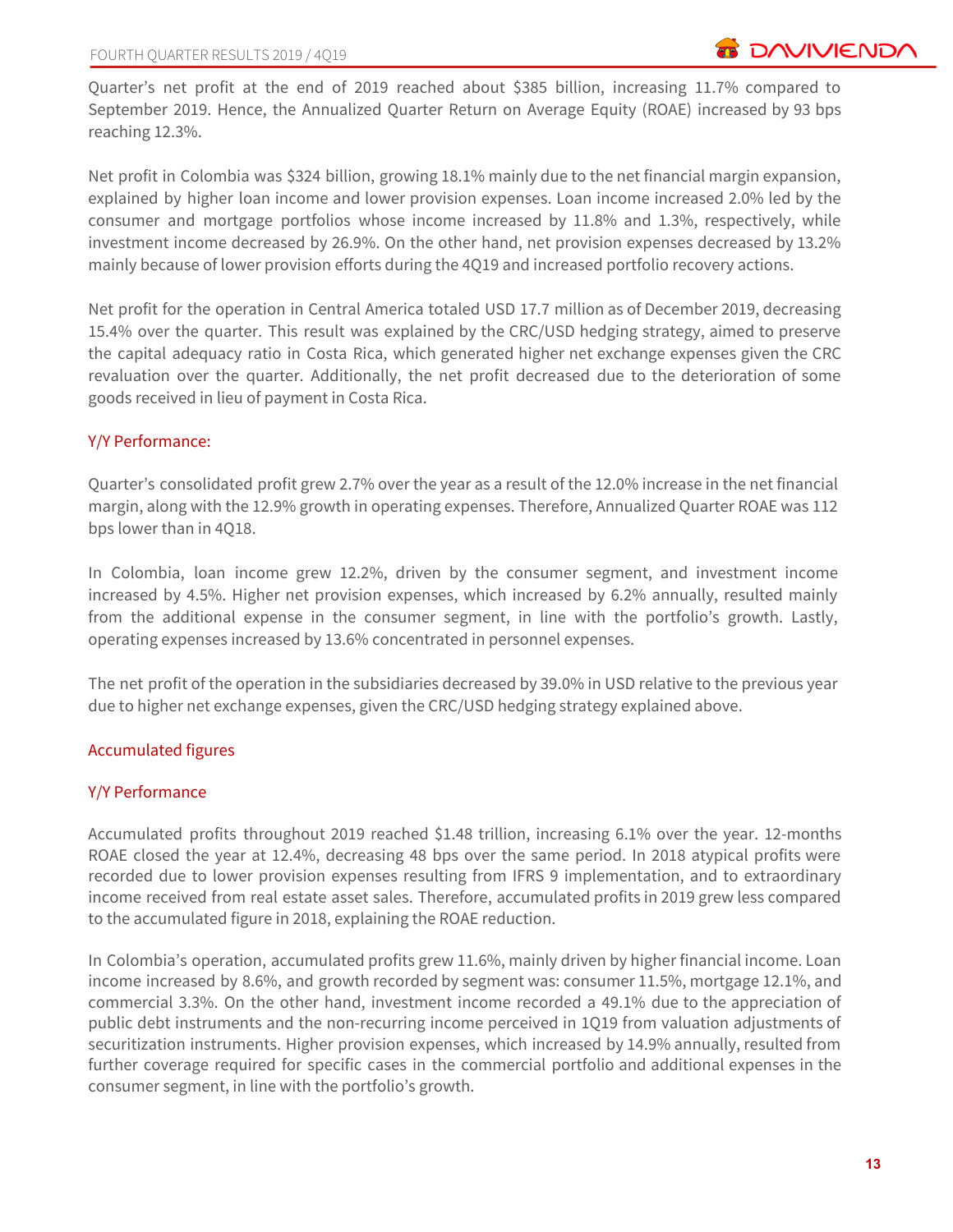Quarter's net profit at the end of 2019 reached about \$385 billion, increasing 11.7% compared to September 2019. Hence, the Annualized Quarter Return on Average Equity (ROAE) increased by 93 bps reaching 12.3%.

Net profit in Colombia was \$324 billion, growing 18.1% mainly due to the net financial margin expansion, explained by higher loan income and lower provision expenses. Loan income increased 2.0% led by the consumer and mortgage portfolios whose income increased by 11.8% and 1.3%, respectively, while investment income decreased by 26.9%. On the other hand, net provision expenses decreased by 13.2% mainly because of lower provision efforts during the 4Q19 and increased portfolio recovery actions.

Net profit for the operation in Central America totaled USD 17.7 million as of December 2019, decreasing 15.4% over the quarter. This result was explained by the CRC/USD hedging strategy, aimed to preserve the capital adequacy ratio in Costa Rica, which generated higher net exchange expenses given the CRC revaluation over the quarter. Additionally, the net profit decreased due to the deterioration of some goods received in lieu of payment in Costa Rica.

## Y/Y Performance:

Quarter's consolidated profit grew 2.7% over the year as a result of the 12.0% increase in the net financial margin, along with the 12.9% growth in operating expenses. Therefore, Annualized Quarter ROAE was 112 bps lower than in 4Q18.

In Colombia, loan income grew 12.2%, driven by the consumer segment, and investment income increased by 4.5%. Higher net provision expenses, which increased by 6.2% annually, resulted mainly from the additional expense in the consumer segment, in line with the portfolio's growth. Lastly, operating expenses increased by 13.6% concentrated in personnel expenses.

The net profit of the operation in the subsidiaries decreased by 39.0% in USD relative to the previous year due to higher net exchange expenses, given the CRC/USD hedging strategy explained above.

## Accumulated figures

## Y/Y Performance

Accumulated profits throughout 2019 reached \$1.48 trillion, increasing 6.1% over the year. 12-months ROAE closed the year at 12.4%, decreasing 48 bps over the same period. In 2018 atypical profits were recorded due to lower provision expenses resulting from IFRS 9 implementation, and to extraordinary income received from real estate asset sales. Therefore, accumulated profits in 2019 grew less compared to the accumulated figure in 2018, explaining the ROAE reduction.

In Colombia's operation, accumulated profits grew 11.6%, mainly driven by higher financial income. Loan income increased by 8.6%, and growth recorded by segment was: consumer 11.5%, mortgage 12.1%, and commercial 3.3%. On the other hand, investment income recorded a 49.1% due to the appreciation of public debt instruments and the non-recurring income perceived in 1Q19 from valuation adjustments of securitization instruments. Higher provision expenses, which increased by 14.9% annually, resulted from further coverage required for specific cases in the commercial portfolio and additional expenses in the consumer segment, in line with the portfolio's growth.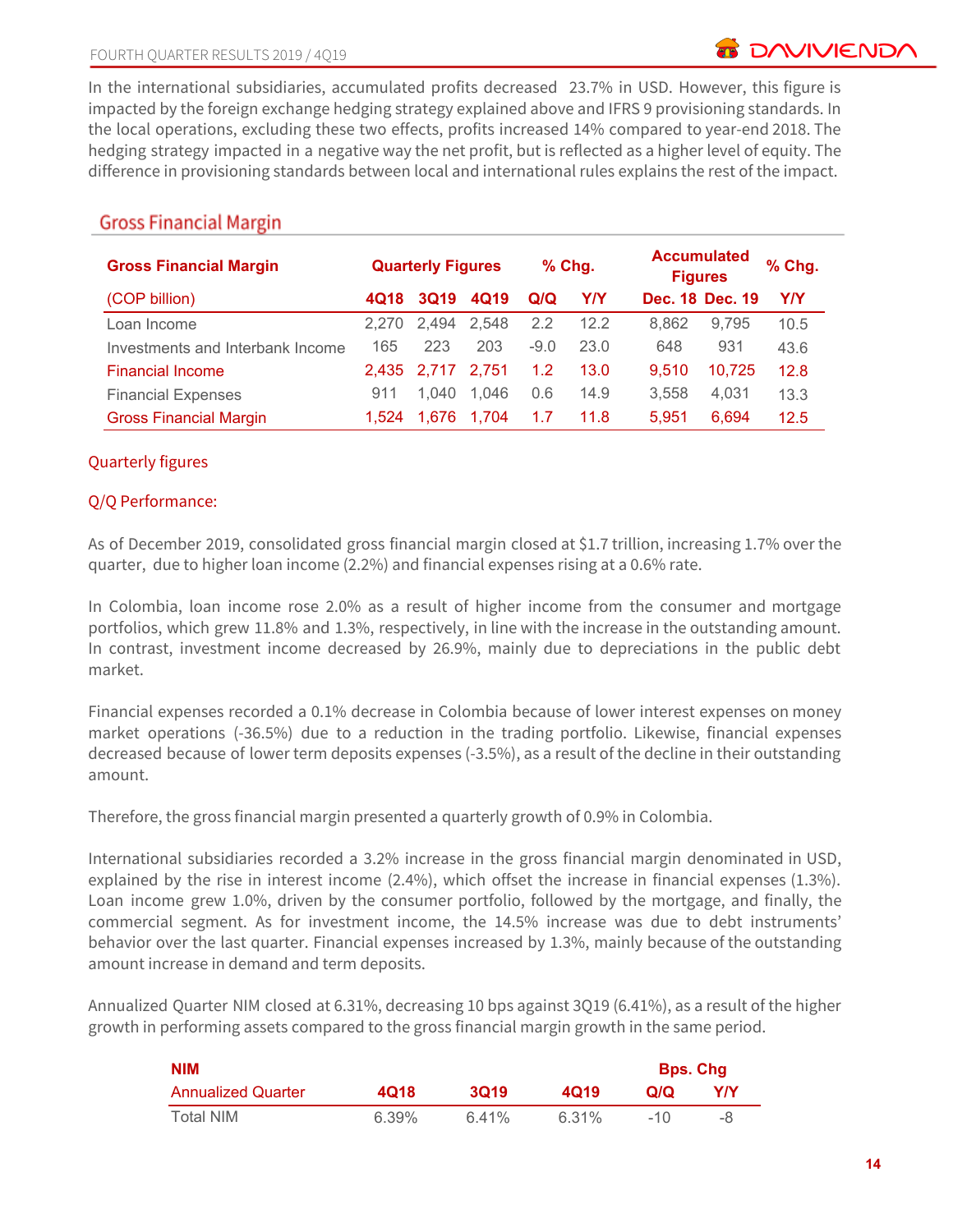**DAVIVIEND** 

In the international subsidiaries, accumulated profits decreased 23.7% in USD. However, this figure is impacted by the foreign exchange hedging strategy explained above and IFRS 9 provisioning standards. In the local operations, excluding these two effects, profits increased 14% compared to year-end 2018. The hedging strategy impacted in a negative way the net profit, but is reflected as a higher level of equity. The difference in provisioning standards between local and international rules explains the rest of the impact.

| <b>Gross Financial Margin</b>    | <b>Quarterly Figures</b> |             | $%$ Chg. |        | <b>Accumulated</b><br><b>Figures</b> |       | % Chg.          |            |
|----------------------------------|--------------------------|-------------|----------|--------|--------------------------------------|-------|-----------------|------------|
| (COP billion)                    | 4Q18                     | <b>3Q19</b> | 4Q19     | Q/Q    | <b>Y/Y</b>                           |       | Dec. 18 Dec. 19 | <b>Y/Y</b> |
| Loan Income                      | 2.270                    | 2.494       | 2.548    | 2.2    | 12.2                                 | 8.862 | 9,795           | 10.5       |
| Investments and Interbank Income | 165                      | 223         | 203      | $-9.0$ | 23.0                                 | 648   | 931             | 43.6       |
| <b>Financial Income</b>          |                          | 2.435 2.717 | 2.751    | 1.2    | 13.0                                 | 9,510 | 10,725          | 12.8       |
| <b>Financial Expenses</b>        | 911                      | 1.040       | 1.046    | 0.6    | 14.9                                 | 3.558 | 4,031           | 13.3       |
| <b>Gross Financial Margin</b>    | 1.524                    | 1.676       | 1.704    | 1.7    | 11.8                                 | 5,951 | 6.694           | 12.5       |

# **Gross Financial Margin**

## Quarterly figures

## Q/Q Performance:

As of December 2019, consolidated gross financial margin closed at \$1.7 trillion, increasing 1.7% over the quarter, due to higher loan income (2.2%) and financial expenses rising at a 0.6% rate.

In Colombia, loan income rose 2.0% as a result of higher income from the consumer and mortgage portfolios, which grew 11.8% and 1.3%, respectively, in line with the increase in the outstanding amount. In contrast, investment income decreased by 26.9%, mainly due to depreciations in the public debt market.

Financial expenses recorded a 0.1% decrease in Colombia because of lower interest expenses on money market operations (-36.5%) due to a reduction in the trading portfolio. Likewise, financial expenses decreased because of lower term deposits expenses (-3.5%), as a result of the decline in their outstanding amount.

Therefore, the gross financial margin presented a quarterly growth of 0.9% in Colombia.

International subsidiaries recorded a 3.2% increase in the gross financial margin denominated in USD, explained by the rise in interest income (2.4%), which offset the increase in financial expenses (1.3%). Loan income grew 1.0%, driven by the consumer portfolio, followed by the mortgage, and finally, the commercial segment. As for investment income, the 14.5% increase was due to debt instruments' behavior over the last quarter. Financial expenses increased by 1.3%, mainly because of the outstanding amount increase in demand and term deposits.

Annualized Quarter NIM closed at 6.31%, decreasing 10 bps against 3Q19 (6.41%), as a result of the higher growth in performing assets compared to the gross financial margin growth in the same period.

| <b>NIM</b>                |       |       |       | <b>Bps. Chg</b> |     |
|---------------------------|-------|-------|-------|-----------------|-----|
| <b>Annualized Quarter</b> | 4Q18  | 3019  | 4019  | Q/Q             | Y/Y |
| Total NIM                 | 6.39% | 6.41% | 6.31% | $-10$           | -8  |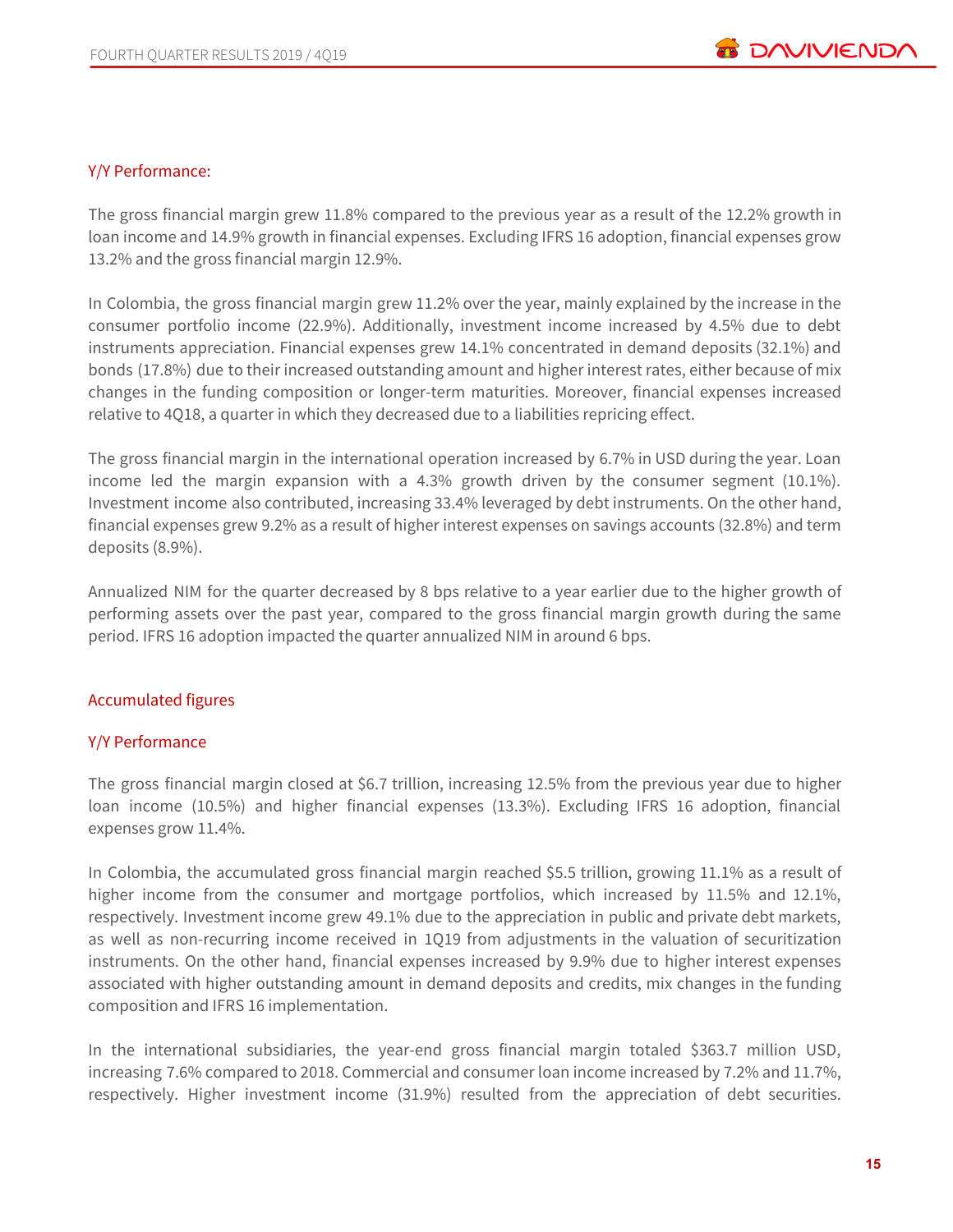

#### Y/Y Performance:

The gross financial margin grew 11.8% compared to the previous year as a result of the 12.2% growth in loan income and 14.9% growth in financial expenses. Excluding IFRS 16 adoption, financial expenses grow 13.2% and the gross financial margin 12.9%.

In Colombia, the gross financial margin grew 11.2% over the year, mainly explained by the increase in the consumer portfolio income (22.9%). Additionally, investment income increased by 4.5% due to debt instruments appreciation. Financial expenses grew 14.1% concentrated in demand deposits (32.1%) and bonds (17.8%) due to their increased outstanding amount and higher interest rates, either because of mix changes in the funding composition or longer-term maturities. Moreover, financial expenses increased relative to 4Q18, a quarter in which they decreased due to a liabilities repricing effect.

The gross financial margin in the international operation increased by 6.7% in USD during the year. Loan income led the margin expansion with a 4.3% growth driven by the consumer segment (10.1%). Investment income also contributed, increasing 33.4% leveraged by debt instruments. On the other hand, financial expenses grew 9.2% as a result of higher interest expenses on savings accounts (32.8%) and term deposits (8.9%).

Annualized NIM for the quarter decreased by 8 bps relative to a year earlier due to the higher growth of performing assets over the past year, compared to the gross financial margin growth during the same period. IFRS 16 adoption impacted the quarter annualized NIM in around 6 bps.

#### Accumulated figures

#### Y/Y Performance

The gross financial margin closed at \$6.7 trillion, increasing 12.5% from the previous year due to higher loan income (10.5%) and higher financial expenses (13.3%). Excluding IFRS 16 adoption, financial expenses grow 11.4%.

In Colombia, the accumulated gross financial margin reached \$5.5 trillion, growing 11.1% as a result of higher income from the consumer and mortgage portfolios, which increased by 11.5% and 12.1%, respectively. Investment income grew 49.1% due to the appreciation in public and private debt markets, as well as non-recurring income received in 1Q19 from adjustments in the valuation of securitization instruments. On the other hand, financial expenses increased by 9.9% due to higher interest expenses associated with higher outstanding amount in demand deposits and credits, mix changes in the funding composition and IFRS 16 implementation.

In the international subsidiaries, the year-end gross financial margin totaled \$363.7 million USD, increasing 7.6% compared to 2018. Commercial and consumer loan income increased by 7.2% and 11.7%, respectively. Higher investment income (31.9%) resulted from the appreciation of debt securities.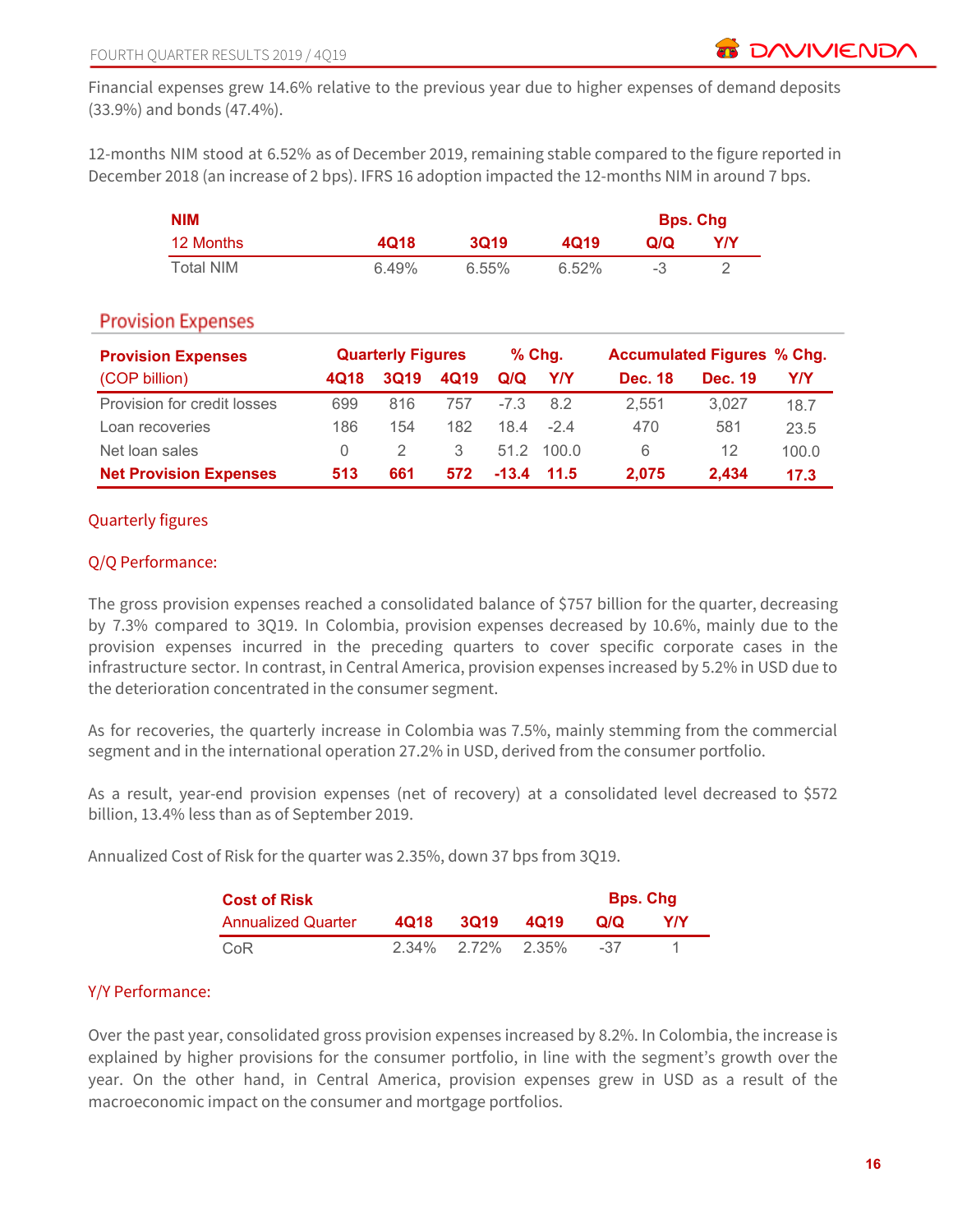Financial expenses grew 14.6% relative to the previous year due to higher expenses of demand deposits (33.9%) and bonds (47.4%).

12-months NIM stood at 6.52% as of December 2019, remaining stable compared to the figure reported in December 2018 (an increase of 2 bps). IFRS 16 adoption impacted the 12-months NIM in around 7 bps.

| <b>NIM</b> |       |       |          | <b>Bps. Chg</b> |     |
|------------|-------|-------|----------|-----------------|-----|
| 12 Months  | 4Q18  | 3019  | 4019     | Q/Q             | Y/Y |
| Total NIM  | 6.49% | 6.55% | $6.52\%$ |                 |     |

## **Provision Expenses**

| <b>Provision Expenses</b>     |                  | <b>Quarterly Figures</b> |      |        | $%$ Chg.     |                | <b>Accumulated Figures % Chg.</b> |       |
|-------------------------------|------------------|--------------------------|------|--------|--------------|----------------|-----------------------------------|-------|
| (COP billion)                 | 4Q18             | <b>3Q19</b>              | 4Q19 | Q/Q    | Y/Y          | <b>Dec. 18</b> | <b>Dec. 19</b>                    | Y/Y   |
| Provision for credit losses   | 699              | 816                      | 757  | $-7.3$ | 8.2          | 2.551          | 3.027                             | 18.7  |
| Loan recoveries               | 186              | 154                      | 182  | 18.4   | $-24$        | 470            | 581                               | 23.5  |
| Net loan sales                | $\left( \right)$ |                          | 3    | 51.2   | 100.0        | 6              | 12                                | 100.0 |
| <b>Net Provision Expenses</b> | 513              | 661                      | 572  |        | $-13.4$ 11.5 | 2.075          | 2.434                             | 17.3  |

## Quarterly figures

## Q/Q Performance:

The gross provision expenses reached a consolidated balance of \$757 billion for the quarter, decreasing by 7.3% compared to 3Q19. In Colombia, provision expenses decreased by 10.6%, mainly due to the provision expenses incurred in the preceding quarters to cover specific corporate cases in the infrastructure sector. In contrast, in Central America, provision expenses increased by 5.2% in USD due to the deterioration concentrated in the consumer segment.

As for recoveries, the quarterly increase in Colombia was 7.5%, mainly stemming from the commercial segment and in the international operation 27.2% in USD, derived from the consumer portfolio.

As a result, year-end provision expenses (net of recovery) at a consolidated level decreased to \$572 billion, 13.4% less than as of September 2019.

Annualized Cost of Risk for the quarter was 2.35%, down 37 bps from 3Q19.

| <b>Cost of Risk</b>       | <b>Bps. Chg</b> |                   |      |     |     |
|---------------------------|-----------------|-------------------|------|-----|-----|
| <b>Annualized Quarter</b> | 4018            | <b>3019</b>       | 4019 | Q/Q | Y/Y |
| CoR                       |                 | 2.34% 2.72% 2.35% |      | -37 |     |

## Y/Y Performance:

Over the past year, consolidated gross provision expenses increased by 8.2%. In Colombia, the increase is explained by higher provisions for the consumer portfolio, in line with the segment's growth over the year. On the other hand, in Central America, provision expenses grew in USD as a result of the macroeconomic impact on the consumer and mortgage portfolios.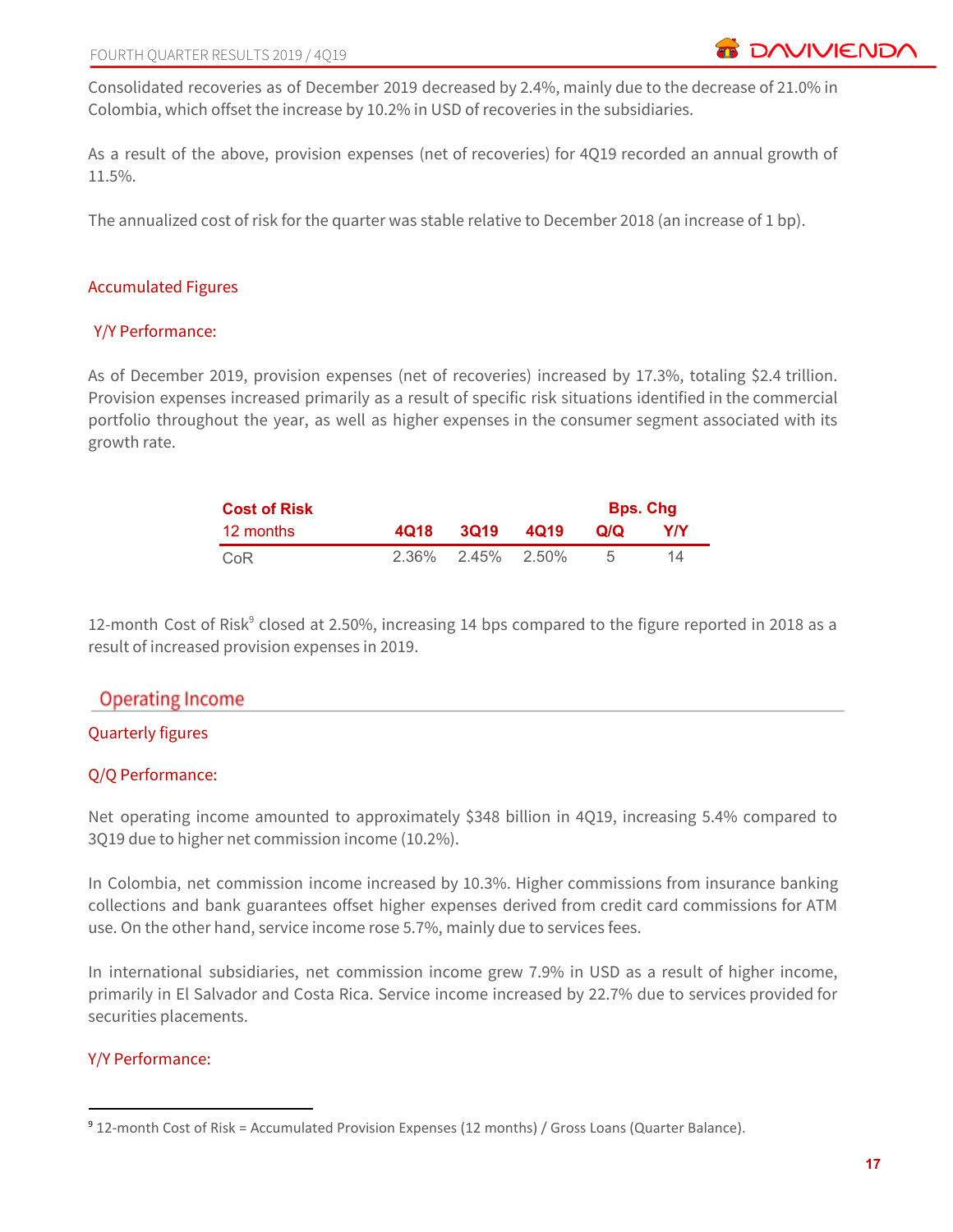Consolidated recoveries as of December 2019 decreased by 2.4%, mainly due to the decrease of 21.0% in Colombia, which offset the increase by 10.2% in USD of recoveries in the subsidiaries.

As a result of the above, provision expenses (net of recoveries) for 4Q19 recorded an annual growth of 11.5%.

The annualized cost of risk for the quarter was stable relative to December 2018 (an increase of 1 bp).

#### Accumulated Figures

#### Y/Y Performance:

As of December 2019, provision expenses (net of recoveries) increased by 17.3%, totaling \$2.4 trillion. Provision expenses increased primarily as a result of specific risk situations identified in the commercial portfolio throughout the year, as well as higher expenses in the consumer segment associated with its growth rate.

| <b>Cost of Risk</b> |                            |     | <b>Bps. Chg</b> |
|---------------------|----------------------------|-----|-----------------|
| 12 months           | 4Q18 3Q19 4Q19             | Q/Q | YIY             |
| CoR                 | $2.36\%$ $2.45\%$ $2.50\%$ |     | 14              |

12-month Cost of Risk<sup>9</sup> closed at 2.50%, increasing 14 bps compared to the figure reported in 2018 as a result of increased provision expenses in 2019.

## **Operating Income**

## Quarterly figures

## Q/Q Performance:

Net operating income amounted to approximately \$348 billion in 4Q19, increasing 5.4% compared to 3Q19 due to higher net commission income (10.2%).

In Colombia, net commission income increased by 10.3%. Higher commissions from insurance banking collections and bank guarantees offset higher expenses derived from credit card commissions for ATM use. On the other hand, service income rose 5.7%, mainly due to services fees.

In international subsidiaries, net commission income grew 7.9% in USD as a result of higher income, primarily in El Salvador and Costa Rica. Service income increased by 22.7% due to services provided for securities placements.

#### Y/Y Performance:

<sup>9</sup> 12-month Cost of Risk = Accumulated Provision Expenses (12 months) / Gross Loans (Quarter Balance).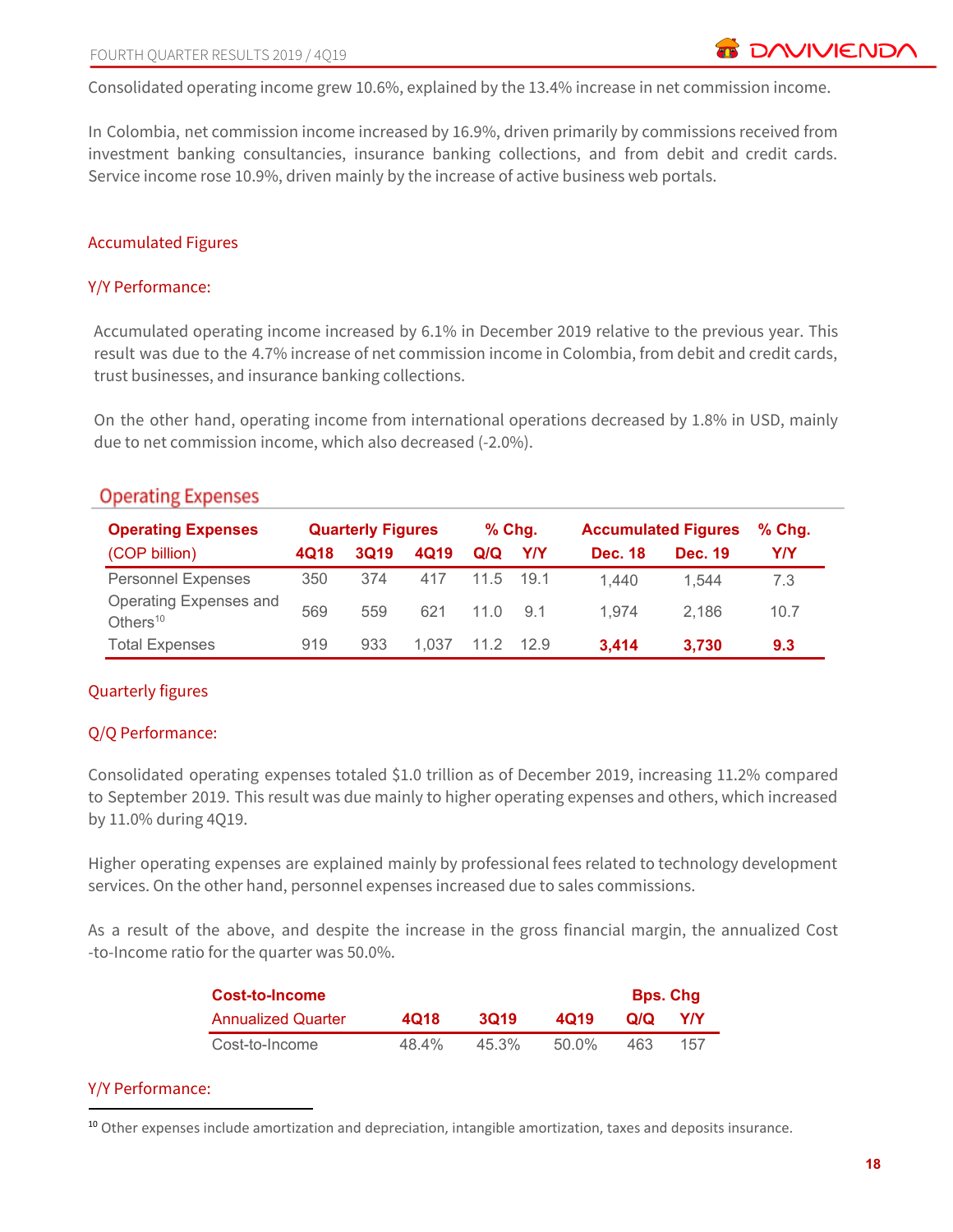Consolidated operating income grew 10.6%, explained by the 13.4% increase in net commission income.

In Colombia, net commission income increased by 16.9%, driven primarily by commissions received from investment banking consultancies, insurance banking collections, and from debit and credit cards. Service income rose 10.9%, driven mainly by the increase of active business web portals.

#### Accumulated Figures

#### Y/Y Performance:

Accumulated operating income increased by 6.1% in December 2019 relative to the previous year. This result was due to the 4.7% increase of net commission income in Colombia, from debit and credit cards, trust businesses, and insurance banking collections.

On the other hand, operating income from international operations decreased by 1.8% in USD, mainly due to net commission income, which also decreased (-2.0%).

| <b>Operating Expenses</b>             | <b>Quarterly Figures</b> |             | $%$ Chg. |      | <b>Accumulated Figures</b> |                | $%$ Chg.       |      |
|---------------------------------------|--------------------------|-------------|----------|------|----------------------------|----------------|----------------|------|
| (COP billion)                         | 4Q18                     | <b>3Q19</b> | 4Q19     | Q/Q  | Y/Y                        | <b>Dec. 18</b> | <b>Dec. 19</b> | Y/Y  |
| <b>Personnel Expenses</b>             | 350                      | 374         | 417      | 11.5 | 19.1                       | 1.440          | 1.544          | 7.3  |
| Operating Expenses and<br>Others $10$ | 569                      | 559         | 621      | 11 O | .9.1                       | 1.974          | 2.186          | 10.7 |
| <b>Total Expenses</b>                 | 919                      | 933         | 1.037    | 11 2 | 12.9                       | 3,414          | 3.730          | 9.3  |

## **Operating Expenses**

## Quarterly figures

## Q/Q Performance:

Consolidated operating expenses totaled \$1.0 trillion as of December 2019, increasing 11.2% compared to September 2019. This result was due mainly to higher operating expenses and others, which increased by 11.0% during 4Q19.

Higher operating expenses are explained mainly by professional fees related to technology development services. On the other hand, personnel expenses increased due to sales commissions.

As a result of the above, and despite the increase in the gross financial margin, the annualized Cost -to-Income ratio for the quarter was 50.0%.

| Cost-to-Income            |       |       |       |     | <b>Bps. Chg</b> |
|---------------------------|-------|-------|-------|-----|-----------------|
| <b>Annualized Quarter</b> | 4018  | 3019  | 4019  | Q/Q | <b>YIY</b>      |
| Cost-to-Income            | 48.4% | 45.3% | 50.0% | 463 | 157             |

#### Y/Y Performance:

<sup>&</sup>lt;sup>10</sup> Other expenses include amortization and depreciation, intangible amortization, taxes and deposits insurance.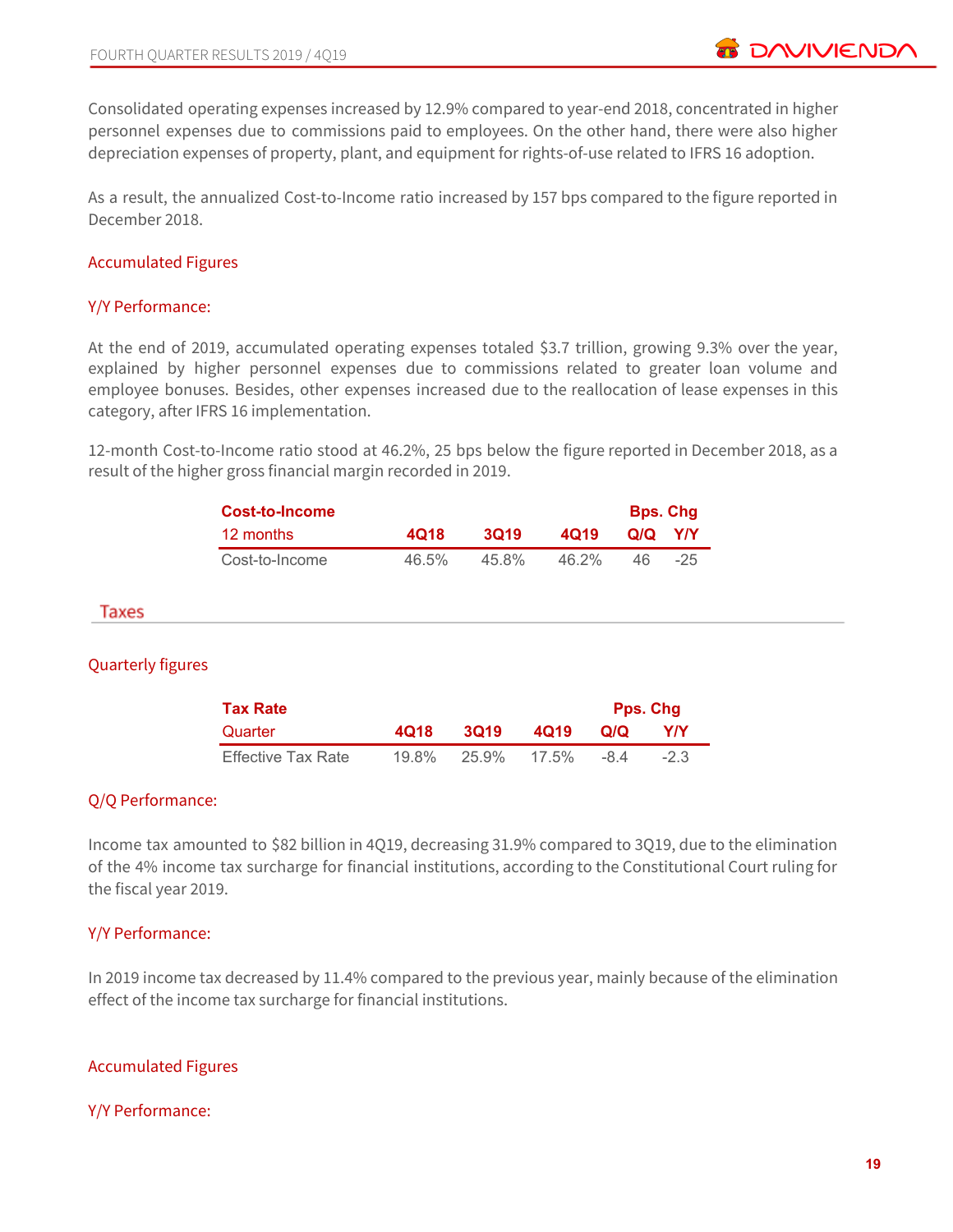Consolidated operating expenses increased by 12.9% compared to year-end 2018, concentrated in higher personnel expenses due to commissions paid to employees. On the other hand, there were also higher depreciation expenses of property, plant, and equipment for rights-of-use related to IFRS 16 adoption.

As a result, the annualized Cost-to-Income ratio increased by 157 bps compared to the figure reported in December 2018.

#### Accumulated Figures

#### Y/Y Performance:

At the end of 2019, accumulated operating expenses totaled \$3.7 trillion, growing 9.3% over the year, explained by higher personnel expenses due to commissions related to greater loan volume and employee bonuses. Besides, other expenses increased due to the reallocation of lease expenses in this category, after IFRS 16 implementation.

12-month Cost-to-Income ratio stood at 46.2%, 25 bps below the figure reported in December 2018, as a result of the higher gross financial margin recorded in 2019.

| Cost-to-Income |          |       |          | <b>Bps. Chg</b> |            |
|----------------|----------|-------|----------|-----------------|------------|
| 12 months      | 4018     | 3019  | 4019     | Q/Q             | <b>YIY</b> |
| Cost-to-Income | $46.5\%$ | 45.8% | $46.2\%$ | 46.             | $-25$      |

#### Taxes

## Quarterly figures

| <b>Tax Rate</b>    |          |       | <b>Pps. Chg</b> |            |        |
|--------------------|----------|-------|-----------------|------------|--------|
| Quarter            | 4018     | 3019  | 4019            | <b>QIQ</b> | Y/Y    |
| Effective Tax Rate | $19.8\%$ | 25.9% | 17.5%           | -84        | $-2.3$ |

## Q/Q Performance:

Income tax amounted to \$82 billion in 4Q19, decreasing 31.9% compared to 3Q19, due to the elimination of the 4% income tax surcharge for financial institutions, according to the Constitutional Court ruling for the fiscal year 2019.

#### Y/Y Performance:

In 2019 income tax decreased by 11.4% compared to the previous year, mainly because of the elimination effect of the income tax surcharge for financial institutions.

## Accumulated Figures

#### Y/Y Performance: